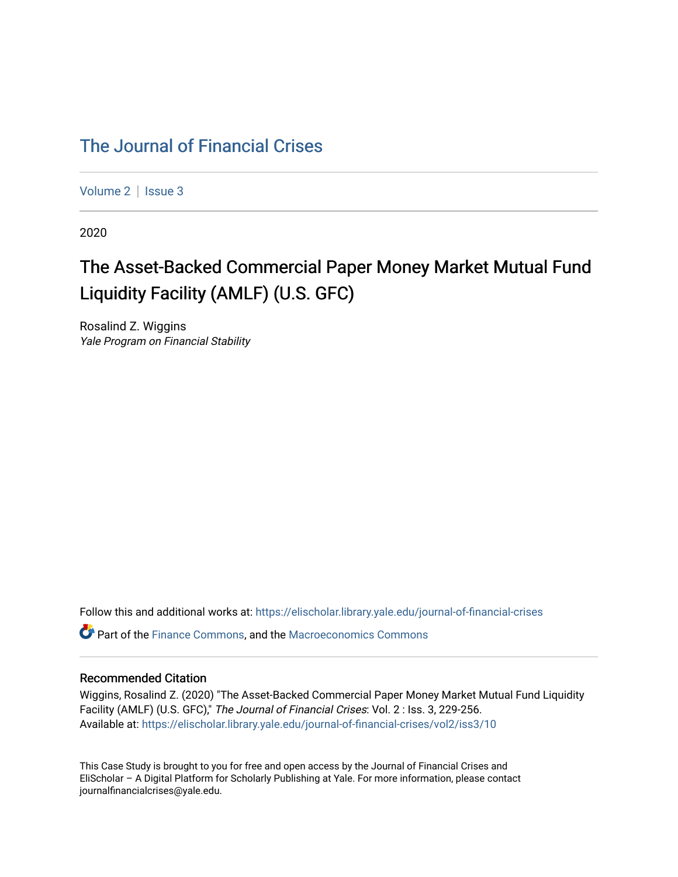## [The Journal of Financial Crises](https://elischolar.library.yale.edu/journal-of-financial-crises)

[Volume 2](https://elischolar.library.yale.edu/journal-of-financial-crises/vol2) | Issue 3

2020

## The Asset-Backed Commercial Paper Money Market Mutual Fund Liquidity Facility (AMLF) (U.S. GFC)

Rosalind Z. Wiggins Yale Program on Financial Stability

Follow this and additional works at: [https://elischolar.library.yale.edu/journal-of-financial-crises](https://elischolar.library.yale.edu/journal-of-financial-crises?utm_source=elischolar.library.yale.edu%2Fjournal-of-financial-crises%2Fvol2%2Fiss3%2F10&utm_medium=PDF&utm_campaign=PDFCoverPages) 

**C**<sup> $\bullet$ </sup> Part of the [Finance Commons,](http://network.bepress.com/hgg/discipline/345?utm_source=elischolar.library.yale.edu%2Fjournal-of-financial-crises%2Fvol2%2Fiss3%2F10&utm_medium=PDF&utm_campaign=PDFCoverPages) and the Macroeconomics Commons

#### Recommended Citation

Wiggins, Rosalind Z. (2020) "The Asset-Backed Commercial Paper Money Market Mutual Fund Liquidity Facility (AMLF) (U.S. GFC)," The Journal of Financial Crises: Vol. 2 : Iss. 3, 229-256. Available at: [https://elischolar.library.yale.edu/journal-of-financial-crises/vol2/iss3/10](https://elischolar.library.yale.edu/journal-of-financial-crises/vol2/iss3/10?utm_source=elischolar.library.yale.edu%2Fjournal-of-financial-crises%2Fvol2%2Fiss3%2F10&utm_medium=PDF&utm_campaign=PDFCoverPages) 

This Case Study is brought to you for free and open access by the Journal of Financial Crises and EliScholar – A Digital Platform for Scholarly Publishing at Yale. For more information, please contact journalfinancialcrises@yale.edu.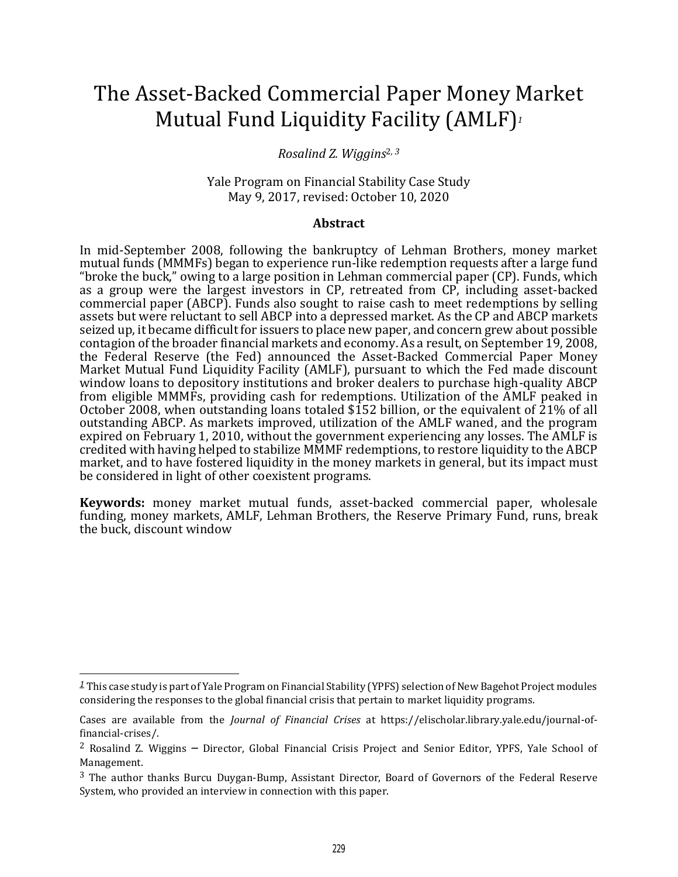# The Asset-Backed Commercial Paper Money Market Mutual Fund Liquidity Facility (AMLF)*<sup>1</sup>*

#### *Rosalind Z. Wiggins*2*, <sup>3</sup>*

Yale Program on Financial Stability Case Study May 9, 2017, revised: October 10, 2020

#### **Abstract**

In mid-September 2008, following the bankruptcy of Lehman Brothers, money market mutual funds (MMMFs) began to experience run-like redemption requests after a large fund "broke the buck," owing to a large position in Lehman commercial paper (CP). Funds, which as a group were the largest investors in CP, retreated from CP, including asset-backed commercial paper (ABCP). Funds also sought to raise cash to meet redemptions by selling assets but were reluctant to sell ABCP into a depressed market. As the CP and ABCP markets seized up, it became difficult for issuers to place new paper, and concern grew about possible contagion of the broader financial markets and economy. As a result, on September 19, 2008, the Federal Reserve (the Fed) announced the Asset-Backed Commercial Paper Money Market Mutual Fund Liquidity Facility (AMLF), pursuant to which the Fed made discount window loans to depository institutions and broker dealers to purchase high-quality ABCP from eligible MMMFs, providing cash for redemptions. Utilization of the AMLF peaked in October 2008, when outstanding loans totaled  $$152$  billion, or the equivalent of 21% of all outstanding ABCP. As markets improved, utilization of the AMLF waned, and the program expired on February 1, 2010, without the government experiencing any losses. The AMLF is credited with having helped to stabilize MMMF redemptions, to restore liquidity to the ABCP market, and to have fostered liquidity in the money markets in general, but its impact must be considered in light of other coexistent programs.

**Keywords:** money market mutual funds, asset-backed commercial paper, wholesale funding, money markets, AMLF, Lehman Brothers, the Reserve Primary Fund, runs, break the buck, discount window

*<sup>1</sup>* This case study is part of Yale Program on Financial Stability (YPFS) selection of New Bagehot Project modules considering the responses to the global financial crisis that pertain to market liquidity programs.

Cases are available from the *Journal of Financial Crises* at https://elischolar.library.yale.edu/journal-offinancial-crises/.

<sup>2</sup> Rosalind Z. Wiggins – Director, Global Financial Crisis Project and Senior Editor, YPFS, Yale School of Management.

<sup>&</sup>lt;sup>3</sup> The author thanks Burcu Duygan-Bump, Assistant Director, Board of Governors of the Federal Reserve System, who provided an interview in connection with this paper.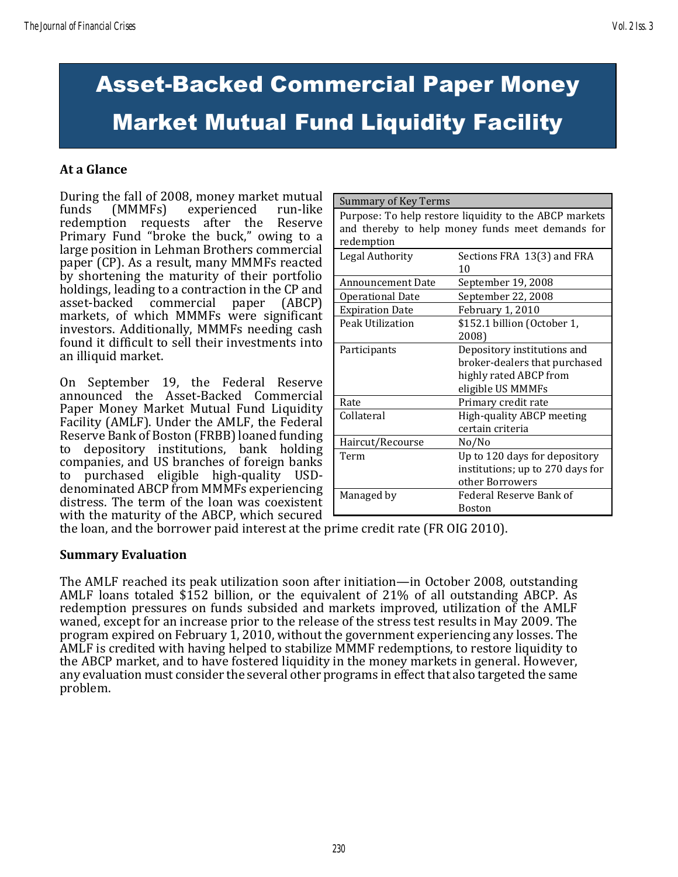# Asset-Backed Commercial Paper Money Market Mutual Fund Liquidity Facility

#### **At a Glance**

During the fall of 2008, money market mutual funds (MMMFs) experienced run-like redemption requests after the Reserve Primary Fund "broke the buck," owing to a large position in Lehman Brothers commercial paper (CP). As a result, many MMMFs reacted by shortening the maturity of their portfolio holdings, leading to a contraction in the CP and asset-backed commercial paper (ABCP) markets, of which MMMFs were significant investors. Additionally, MMMFs needing cash found it difficult to sell their investments into an illiquid market.

On September 19, the Federal Reserve announced the Asset-Backed Commercial Paper Money Market Mutual Fund Liquidity Facility (AMLF). Under the AMLF, the Federal Reserve Bank of Boston (FRBB) loaned funding to depository institutions, bank holding companies, and US branches of foreign banks to purchased eligible high-quality USDdenominated ABCP from MMMFs experiencing distress. The term of the loan was coexistent with the maturity of the ABCP, which secured

| Summary of Key Terms                                   |                                  |  |  |  |  |
|--------------------------------------------------------|----------------------------------|--|--|--|--|
| Purpose: To help restore liquidity to the ABCP markets |                                  |  |  |  |  |
| and thereby to help money funds meet demands for       |                                  |  |  |  |  |
| redemption                                             |                                  |  |  |  |  |
| Legal Authority                                        | Sections FRA 13(3) and FRA       |  |  |  |  |
|                                                        | 10                               |  |  |  |  |
| <b>Announcement Date</b>                               | September 19, 2008               |  |  |  |  |
| <b>Operational Date</b>                                | September 22, 2008               |  |  |  |  |
| <b>Expiration Date</b>                                 | February 1, 2010                 |  |  |  |  |
| Peak Utilization                                       | \$152.1 billion (October 1,      |  |  |  |  |
|                                                        | 2008)                            |  |  |  |  |
| Participants                                           | Depository institutions and      |  |  |  |  |
|                                                        | broker-dealers that purchased    |  |  |  |  |
|                                                        | highly rated ABCP from           |  |  |  |  |
|                                                        | eligible US MMMFs                |  |  |  |  |
| Rate                                                   | Primary credit rate              |  |  |  |  |
| Collateral                                             | High-quality ABCP meeting        |  |  |  |  |
|                                                        | certain criteria                 |  |  |  |  |
| Haircut/Recourse                                       | No/No                            |  |  |  |  |
| Term                                                   | Up to 120 days for depository    |  |  |  |  |
|                                                        | institutions; up to 270 days for |  |  |  |  |
|                                                        | other Borrowers                  |  |  |  |  |
| Managed by                                             | Federal Reserve Bank of          |  |  |  |  |
|                                                        | <b>Boston</b>                    |  |  |  |  |

the loan, and the borrower paid interest at the prime credit rate (FR OIG 2010).

#### **Summary Evaluation**

The AMLF reached its peak utilization soon after initiation—in October 2008, outstanding AMLF loans totaled \$152 billion, or the equivalent of 21% of all outstanding ABCP. As redemption pressures on funds subsided and markets improved, utilization of the AMLF waned, except for an increase prior to the release of the stress test results in May 2009. The program expired on February 1, 2010, without the government experiencing any losses. The AMLF is credited with having helped to stabilize MMMF redemptions, to restore liquidity to the ABCP market, and to have fostered liquidity in the money markets in general. However, any evaluation must consider the several other programs in effect that also targeted the same problem.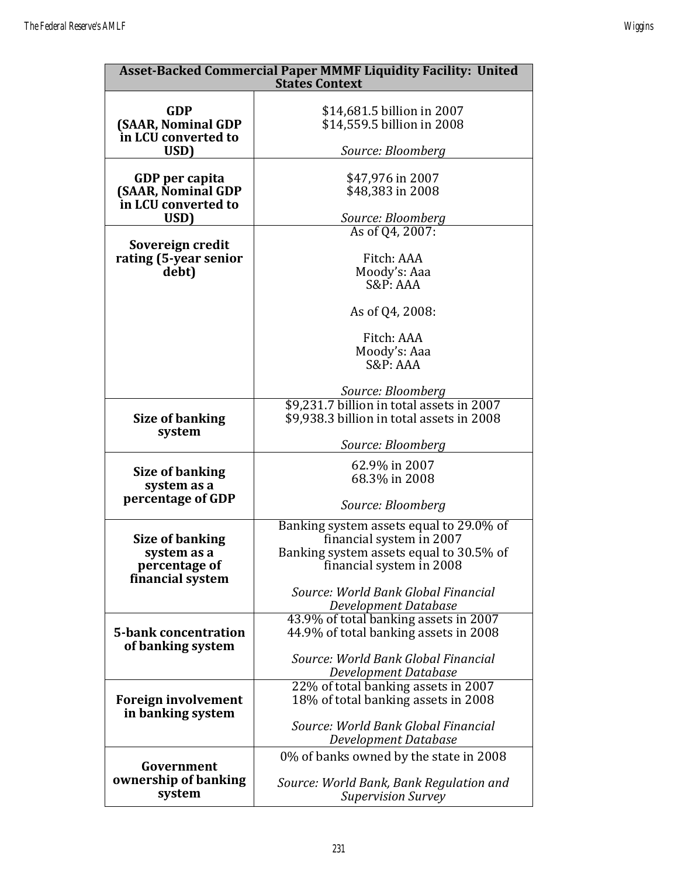| <b>Asset-Backed Commercial Paper MMMF Liquidity Facility: United</b><br><b>States Context</b> |                                                                     |  |  |  |  |  |  |
|-----------------------------------------------------------------------------------------------|---------------------------------------------------------------------|--|--|--|--|--|--|
|                                                                                               |                                                                     |  |  |  |  |  |  |
| <b>GDP</b><br>(SAAR, Nominal GDP                                                              | \$14,681.5 billion in 2007<br>\$14,559.5 billion in 2008            |  |  |  |  |  |  |
| in LCU converted to                                                                           |                                                                     |  |  |  |  |  |  |
| USD)                                                                                          | Source: Bloomberg                                                   |  |  |  |  |  |  |
| GDP per capita                                                                                | \$47,976 in 2007                                                    |  |  |  |  |  |  |
| (SAAR, Nominal GDP                                                                            | \$48,383 in 2008                                                    |  |  |  |  |  |  |
| in LCU converted to                                                                           |                                                                     |  |  |  |  |  |  |
| USD)                                                                                          | Source: Bloomberg<br>As of Q4, 2007:                                |  |  |  |  |  |  |
| Sovereign credit                                                                              |                                                                     |  |  |  |  |  |  |
| rating (5-year senior                                                                         | Fitch: AAA                                                          |  |  |  |  |  |  |
| debt)                                                                                         | Moody's: Aaa<br>S&P: AAA                                            |  |  |  |  |  |  |
|                                                                                               |                                                                     |  |  |  |  |  |  |
|                                                                                               | As of Q4, 2008:                                                     |  |  |  |  |  |  |
|                                                                                               | Fitch: AAA                                                          |  |  |  |  |  |  |
|                                                                                               | Moody's: Aaa                                                        |  |  |  |  |  |  |
|                                                                                               | S&P: AAA                                                            |  |  |  |  |  |  |
|                                                                                               | Source: Bloomberg                                                   |  |  |  |  |  |  |
| <b>Size of banking</b>                                                                        | \$9,231.7 billion in total assets in 2007                           |  |  |  |  |  |  |
|                                                                                               | \$9,938.3 billion in total assets in 2008                           |  |  |  |  |  |  |
| system                                                                                        | Source: Bloomberg                                                   |  |  |  |  |  |  |
| <b>Size of banking</b>                                                                        | 62.9% in 2007                                                       |  |  |  |  |  |  |
| system as a                                                                                   | 68.3% in 2008                                                       |  |  |  |  |  |  |
| percentage of GDP                                                                             | Source: Bloomberg                                                   |  |  |  |  |  |  |
|                                                                                               | Banking system assets equal to 29.0% of                             |  |  |  |  |  |  |
| <b>Size of banking</b>                                                                        | financial system in 2007                                            |  |  |  |  |  |  |
| system as a<br>percentage of                                                                  | Banking system assets equal to 30.5% of<br>financial system in 2008 |  |  |  |  |  |  |
| financial system                                                                              |                                                                     |  |  |  |  |  |  |
|                                                                                               | Source: World Bank Global Financial                                 |  |  |  |  |  |  |
|                                                                                               | Development Database<br>43.9% of total banking assets in 2007       |  |  |  |  |  |  |
| <b>5-bank concentration</b>                                                                   | 44.9% of total banking assets in 2008                               |  |  |  |  |  |  |
| of banking system                                                                             | Source: World Bank Global Financial                                 |  |  |  |  |  |  |
|                                                                                               | Development Database                                                |  |  |  |  |  |  |
|                                                                                               | 22% of total banking assets in 2007                                 |  |  |  |  |  |  |
| <b>Foreign involvement</b>                                                                    | 18% of total banking assets in 2008                                 |  |  |  |  |  |  |
| in banking system                                                                             | Source: World Bank Global Financial                                 |  |  |  |  |  |  |
|                                                                                               | Development Database                                                |  |  |  |  |  |  |
| Government                                                                                    | 0% of banks owned by the state in 2008                              |  |  |  |  |  |  |
| ownership of banking                                                                          | Source: World Bank, Bank Regulation and                             |  |  |  |  |  |  |
| system                                                                                        | <b>Supervision Survey</b>                                           |  |  |  |  |  |  |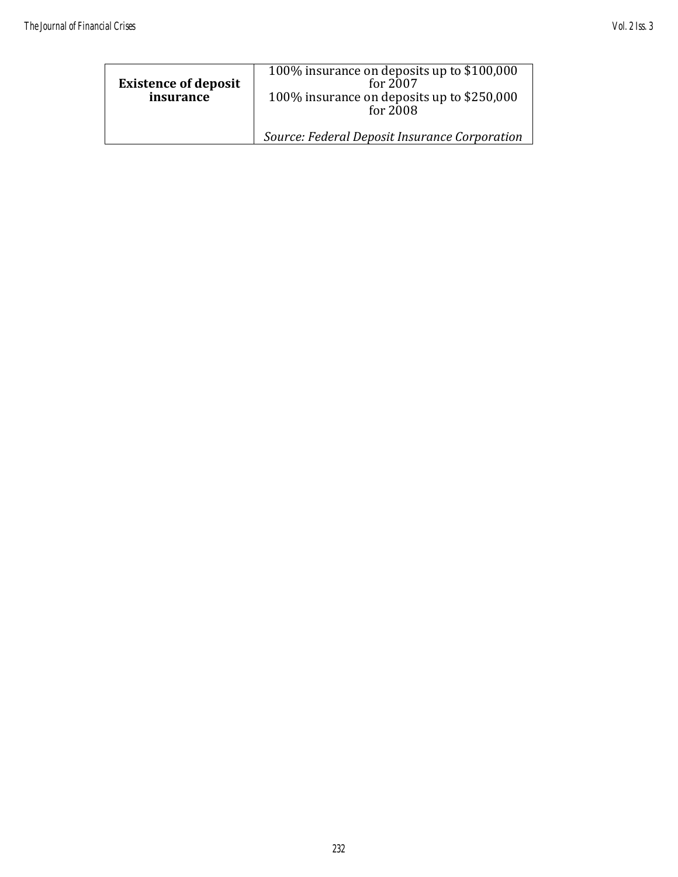| <b>Existence of deposit</b><br>insurance | 100% insurance on deposits up to \$100,000<br>for 2007<br>100% insurance on deposits up to \$250,000<br>for 2008 |
|------------------------------------------|------------------------------------------------------------------------------------------------------------------|
|                                          | Source: Federal Deposit Insurance Corporation                                                                    |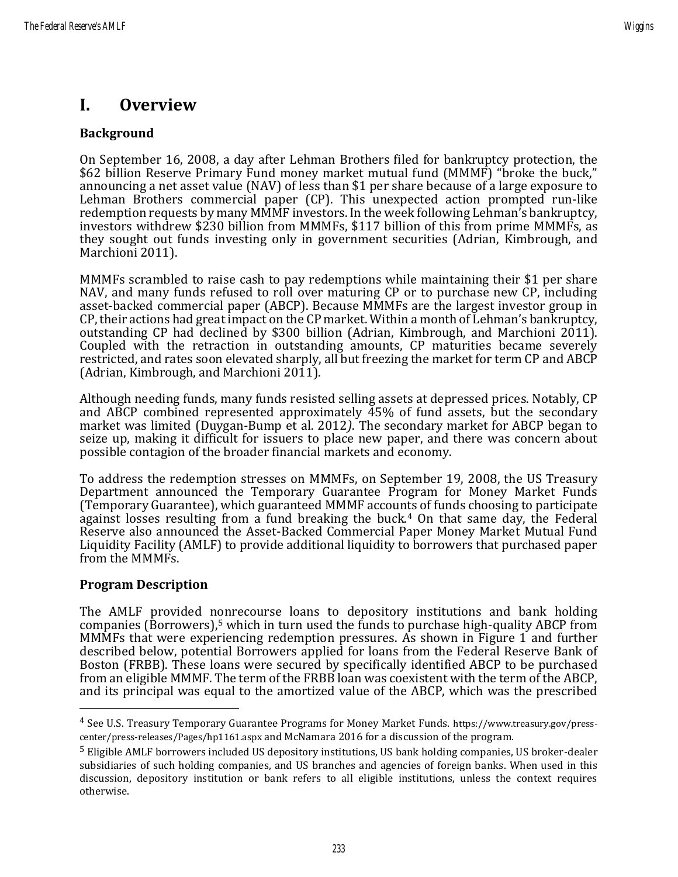## **I. Overview**

#### **Background**

On September 16, 2008, a day after Lehman Brothers filed for bankruptcy protection, the \$62 billion Reserve Primary Fund money market mutual fund (MMMF) "broke the buck," announcing a net asset value (NAV) of less than \$1 per share because of a large exposure to Lehman Brothers commercial paper (CP). This unexpected action prompted run-like redemption requests by many MMMF investors. In the week following Lehman's bankruptcy, investors withdrew \$230 billion from MMMFs, \$117 billion of this from prime MMMFs, as they sought out funds investing only in government securities [\(Adrian, Kimbrough, and](http://papers.ssrn.com/sol3/papers.cfm?abstract_id=1532323)  [Marchioni 2011\)](http://papers.ssrn.com/sol3/papers.cfm?abstract_id=1532323).

MMMFs scrambled to raise cash to pay redemptions while maintaining their \$1 per share NAV, and many funds refused to roll over maturing CP or to purchase new CP, including asset-backed commercial paper (ABCP). Because MMMFs are the largest investor group in CP, their actions had great impact on the CP market. Within a month of Lehman's bankruptcy, outstanding CP had declined by \$300 billion (Adrian, Kimbrough, and Marchioni 2011). Coupled with the retraction in outstanding amounts, CP maturities became severely restricted, and rates soon elevated sharply, all but freezing the market for term CP and ABCP (Adrian, Kimbrough, and Marchioni 2011).

Although needing funds, many funds resisted selling assets at depressed prices. Notably, CP and ABCP combined represented approximately 45% of fund assets, but the secondary market was limited (Duygan-Bump et al. 2012*)*. The secondary market for ABCP began to seize up, making it difficult for issuers to place new paper, and there was concern about possible contagion of the broader financial markets and economy.

To address the redemption stresses on MMMFs, on September 19, 2008, the US Treasury Department announced the Temporary Guarantee Program for Money Market Funds (Temporary Guarantee), which guaranteed MMMF accounts of funds choosing to participate against losses resulting from a fund breaking the buck.<sup>4</sup> On that same day, the Federal Reserve also announced the Asset-Backed Commercial Paper Money Market Mutual Fund Liquidity Facility (AMLF) to provide additional liquidity to borrowers that purchased paper from the MMMFs.

#### **Program Description**

The AMLF provided nonrecourse loans to depository institutions and bank holding companies (Borrowers), <sup>5</sup> which in turn used the funds to purchase high-quality ABCP from MMMFs that were experiencing redemption pressures. As shown in Figure 1 and further described below, potential Borrowers applied for loans from the Federal Reserve Bank of Boston (FRBB). These loans were secured by specifically identified ABCP to be purchased from an eligible MMMF. The term of the FRBB loan was coexistent with the term of the ABCP, and its principal was equal to the amortized value of the ABCP, which was the prescribed

<sup>4</sup> See U.S. Treasury Temporary Guarantee Programs for Money Market Funds. https://www.treasury.gov/presscenter/press-releases/Pages/hp1161.aspx and McNamara 2016 for a discussion of the program.

<sup>5</sup> Eligible AMLF borrowers included US depository institutions, US bank holding companies, US broker-dealer subsidiaries of such holding companies, and US branches and agencies of foreign banks. When used in this discussion, depository institution or bank refers to all eligible institutions, unless the context requires otherwise.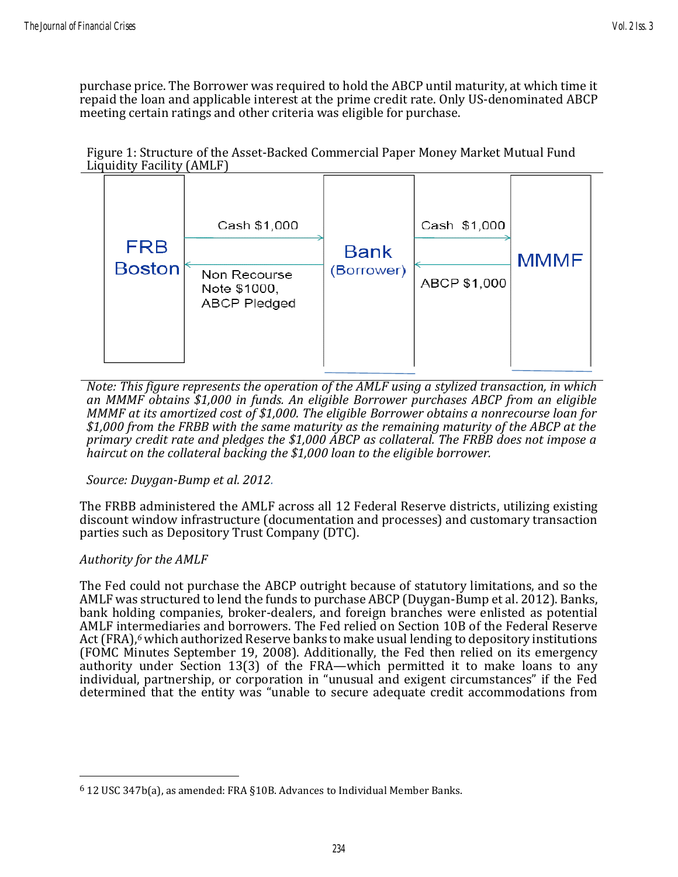purchase price. The Borrower was required to hold the ABCP until maturity, at which time it repaid the loan and applicable interest at the prime credit rate. Only US-denominated ABCP meeting certain ratings and other criteria was eligible for purchase.





*Note: This figure represents the operation of the AMLF using a stylized transaction, in which an MMMF obtains \$1,000 in funds. An eligible Borrower purchases ABCP from an eligible MMMF at its amortized cost of \$1,000. The eligible Borrower obtains a nonrecourse loan for \$1,000 from the FRBB with the same maturity as the remaining maturity of the ABCP at the primary credit rate and pledges the \$1,000 ABCP as collateral. The FRBB does not impose a haircut on the collateral backing the \$1,000 loan to the eligible borrower.*

*Source: Duygan-Bump et al. 2012.*

The FRBB administered the AMLF across all 12 Federal Reserve districts, utilizing existing discount window infrastructure (documentation and processes) and customary transaction parties such as Depository Trust Company (DTC).

#### *Authority for the AMLF*

The Fed could not purchase the ABCP outright because of statutory limitations, and so the AMLF was structured to lend the funds to purchase ABCP (Duygan-Bump et al. 2012). Banks, bank holding companies, broker-dealers, and foreign branches were enlisted as potential AMLF intermediaries and borrowers. The Fed relied on Section 10B of the Federal Reserve Act (FRA), *<sup>6</sup>* which authorized Reserve banks to make usual lending to depository institutions (FOMC Minutes September 19, 2008). Additionally, the Fed then relied on its emergency authority under Section 13(3) of the FRA—which permitted it to make loans to any individual, partnership, or corporation in "unusual and exigent circumstances" if the Fed determined that the entity was "unable to secure adequate credit accommodations from

<sup>6</sup> 12 USC 347b(a), as amended: FRA §10B. Advances to Individual Member Banks.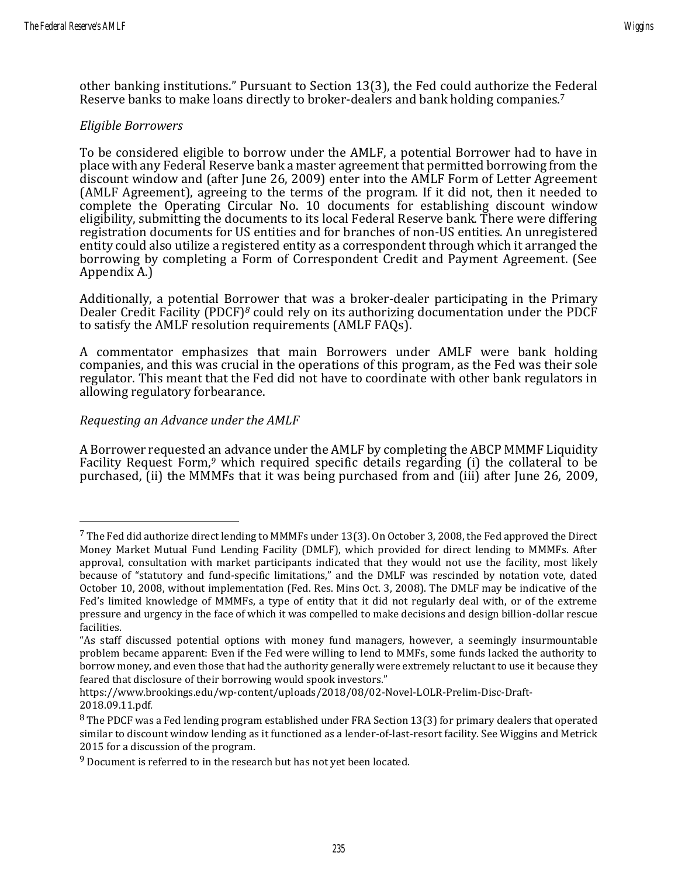other banking institutions." Pursuant to Section 13(3), the Fed could authorize the Federal Reserve banks to make loans directly to broker-dealers and bank holding companies.<sup>7</sup>

#### *Eligible Borrowers*

To be considered eligible to borrow under the AMLF, a potential Borrower had to have in place with any Federal Reserve bank a master agreement that permitted borrowing from the discount window and (after June 26, 2009) enter into the AMLF Form of Letter Agreement (AMLF Agreement), agreeing to the terms of the program. If it did not, then it needed to complete the Operating Circular No. 10 documents for establishing discount window eligibility, submitting the documents to its local Federal Reserve bank. There were differing registration documents for US entities and for branches of non-US entities. An unregistered entity could also utilize a registered entity as a correspondent through which it arranged the borrowing by completing a Form of Correspondent Credit and Payment Agreement. (See Appendix A.)

Additionally, a potential Borrower that was a broker-dealer participating in the Primary Dealer Credit Facility (PDCF)*<sup>8</sup>* could rely on its authorizing documentation under the PDCF to satisfy the AMLF resolution requirements (AMLF FAQs).

A commentator emphasizes that main Borrowers under AMLF were bank holding companies, and this was crucial in the operations of this program, as the Fed was their sole regulator. This meant that the Fed did not have to coordinate with other bank regulators in allowing regulatory forbearance.

#### *Requesting an Advance under the AMLF*

A Borrower requested an advance under the AMLF by completing the ABCP MMMF Liquidity Facility Request Form,<sup>9</sup> which required specific details regarding (i) the collateral to be purchased, (ii) the MMMFs that it was being purchased from and (iii) after June 26, 2009,

 $7$  The Fed did authorize direct lending to MMMFs under 13(3). On October 3, 2008, the Fed approved the Direct Money Market Mutual Fund Lending Facility (DMLF), which provided for direct lending to MMMFs. After approval, consultation with market participants indicated that they would not use the facility, most likely because of "statutory and fund-specific limitations," and the DMLF was rescinded by notation vote, dated October 10, 2008, without implementation (Fed. Res. Mins Oct. 3, 2008). The DMLF may be indicative of the Fed's limited knowledge of MMMFs, a type of entity that it did not regularly deal with, or of the extreme pressure and urgency in the face of which it was compelled to make decisions and design billion-dollar rescue facilities.

<sup>&</sup>quot;As staff discussed potential options with money fund managers, however, a seemingly insurmountable problem became apparent: Even if the Fed were willing to lend to MMFs, some funds lacked the authority to borrow money, and even those that had the authority generally were extremely reluctant to use it because they feared that disclosure of their borrowing would spook investors."

https://www.brookings.edu/wp-content/uploads/2018/08/02-Novel-LOLR-Prelim-Disc-Draft-2018.09.11.pdf*.*

<sup>&</sup>lt;sup>8</sup> The PDCF was a Fed lending program established under FRA Section 13(3) for primary dealers that operated similar to discount window lending as it functioned as a lender-of-last-resort facility. See Wiggins and Metrick 2015 for a discussion of the program.

<sup>&</sup>lt;sup>9</sup> Document is referred to in the research but has not yet been located.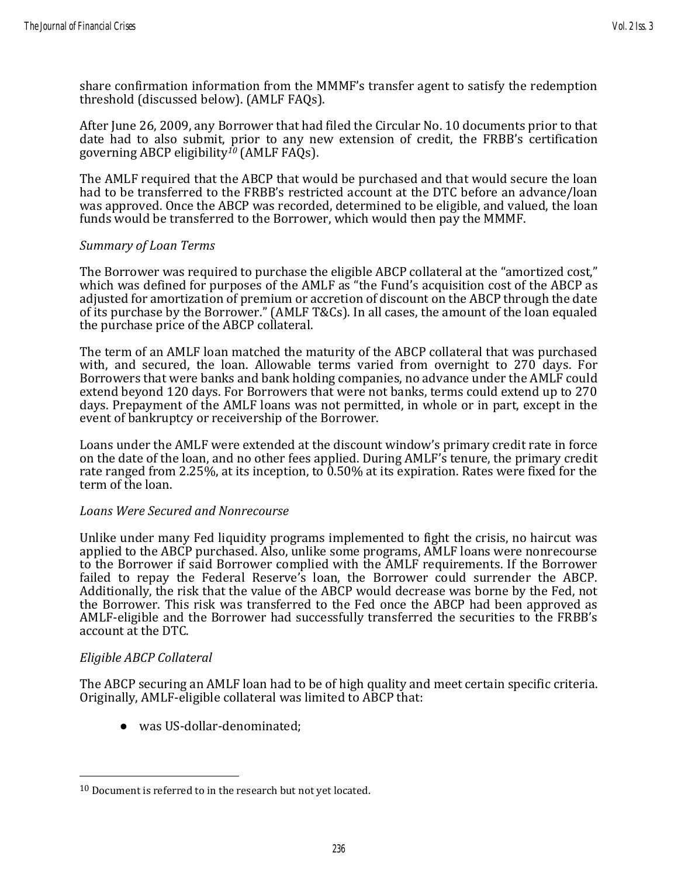share confirmation information from the MMMF's transfer agent to satisfy the redemption threshold (discussed below). (AMLF FAQs).

After June 26, 2009, any Borrower that had filed the Circular No. 10 documents prior to that date had to also submit, prior to any new extension of credit, the FRBB's certification governing ABCP eligibility*<sup>10</sup>* (AMLF FAQs).

The AMLF required that the ABCP that would be purchased and that would secure the loan had to be transferred to the FRBB's restricted account at the DTC before an advance/loan was approved. Once the ABCP was recorded, determined to be eligible, and valued, the loan funds would be transferred to the Borrower, which would then pay the MMMF.

#### *Summary of Loan Terms*

The Borrower was required to purchase the eligible ABCP collateral at the "amortized cost," which was defined for purposes of the AMLF as "the Fund's acquisition cost of the ABCP as adjusted for amortization of premium or accretion of discount on the ABCP through the date of its purchase by the Borrower." (AMLF T&Cs). In all cases, the amount of the loan equaled the purchase price of the ABCP collateral.

The term of an AMLF loan matched the maturity of the ABCP collateral that was purchased with, and secured, the loan. Allowable terms varied from overnight to 270 days. For Borrowers that were banks and bank holding companies, no advance under the AMLF could extend beyond 120 days. For Borrowers that were not banks, terms could extend up to 270 days. Prepayment of the AMLF loans was not permitted, in whole or in part, except in the event of bankruptcy or receivership of the Borrower.

Loans under the AMLF were extended at the discount window's primary credit rate in force on the date of the loan, and no other fees applied. During AMLF's tenure, the primary credit rate ranged from 2.25%, at its inception, to 0.50% at its expiration. Rates were fixed for the term of the loan.

#### *Loans Were Secured and Nonrecourse*

Unlike under many Fed liquidity programs implemented to fight the crisis, no haircut was applied to the ABCP purchased. Also, unlike some programs, AMLF loans were nonrecourse to the Borrower if said Borrower complied with the AMLF requirements. If the Borrower failed to repay the Federal Reserve's loan, the Borrower could surrender the ABCP. Additionally, the risk that the value of the ABCP would decrease was borne by the Fed, not the Borrower. This risk was transferred to the Fed once the ABCP had been approved as AMLF-eligible and the Borrower had successfully transferred the securities to the FRBB's account at the DTC.

#### *Eligible ABCP Collateral*

The ABCP securing an AMLF loan had to be of high quality and meet certain specific criteria. Originally, AMLF-eligible collateral was limited to ABCP that:

● was US-dollar-denominated;

 $10$  Document is referred to in the research but not yet located.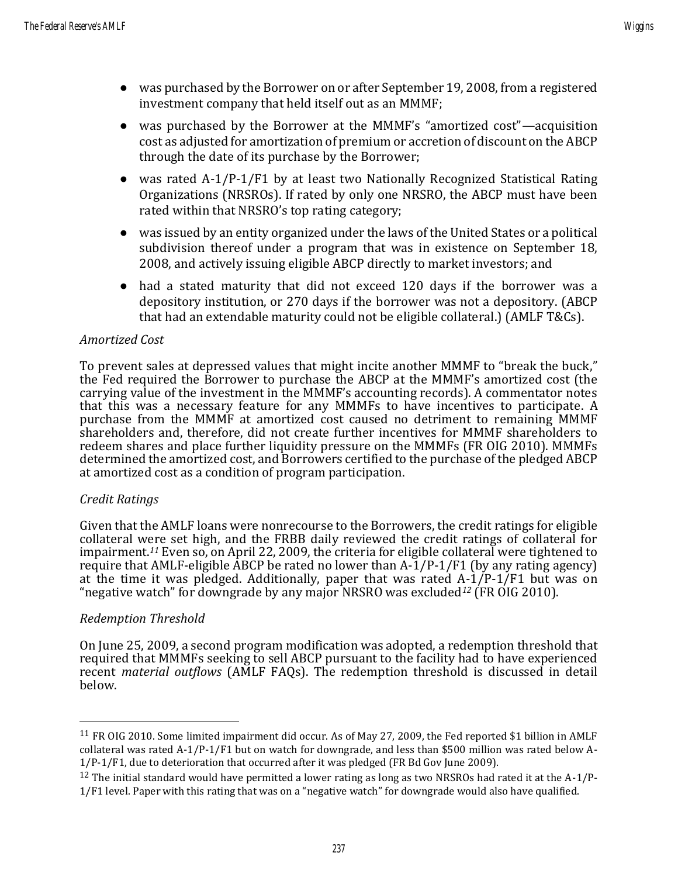- was purchased by the Borrower on or after September 19, 2008, from a registered investment company that held itself out as an MMMF;
- was purchased by the Borrower at the MMMF's "amortized cost"—acquisition cost as adjusted for amortization of premium or accretion of discount on the ABCP through the date of its purchase by the Borrower;
- was rated A-1/P-1/F1 by at least two Nationally Recognized Statistical Rating Organizations (NRSROs). If rated by only one NRSRO, the ABCP must have been rated within that NRSRO's top rating category;
- was issued by an entity organized under the laws of the United States or a political subdivision thereof under a program that was in existence on September 18, 2008, and actively issuing eligible ABCP directly to market investors; and
- had a stated maturity that did not exceed 120 days if the borrower was a depository institution, or 270 days if the borrower was not a depository. (ABCP that had an extendable maturity could not be eligible collateral.) (AMLF T&Cs).

#### *Amortized Cost*

To prevent sales at depressed values that might incite another MMMF to "break the buck," the Fed required the Borrower to purchase the ABCP at the MMMF's amortized cost (the carrying value of the investment in the MMMF's accounting records). A commentator notes that this was a necessary feature for any MMMFs to have incentives to participate. A purchase from the MMMF at amortized cost caused no detriment to remaining MMMF shareholders and, therefore, did not create further incentives for MMMF shareholders to redeem shares and place further liquidity pressure on the MMMFs (FR OIG 2010). MMMFs determined the amortized cost, and Borrowers certified to the purchase of the pledged ABCP at amortized cost as a condition of program participation.

#### *Credit Ratings*

Given that the AMLF loans were nonrecourse to the Borrowers, the credit ratings for eligible collateral were set high, and the FRBB daily reviewed the credit ratings of collateral for impairment.*<sup>11</sup>* Even so, on April 22, 2009, the criteria for eligible collateral were tightened to require that AMLF-eligible ABCP be rated no lower than  $A-I/P-1/F1$  (by any rating agency) at the time it was pledged. Additionally, paper that was rated  $A-1/P-1/FT$  but was on "negative watch" for downgrade by any major NRSRO was excluded*<sup>12</sup>* (FR OIG 2010).

#### *Redemption Threshold*

On June 25, 2009, a second program modification was adopted, a redemption threshold that required that MMMFs seeking to sell ABCP pursuant to the facility had to have experienced recent *material outflows* (AMLF FAQs). The redemption threshold is discussed in detail below.

<sup>11</sup> FR OIG 2010. Some limited impairment did occur. As of May 27, 2009, the Fed reported \$1 billion in AMLF collateral was rated A-1/P-1/F1 but on watch for downgrade, and less than \$500 million was rated below A-1/P-1/F1, due to deterioration that occurred after it was pledged (FR Bd Gov June 2009).

<sup>&</sup>lt;sup>12</sup> The initial standard would have permitted a lower rating as long as two NRSROs had rated it at the A-1/P-1/F1 level. Paper with this rating that was on a "negative watch" for downgrade would also have qualified.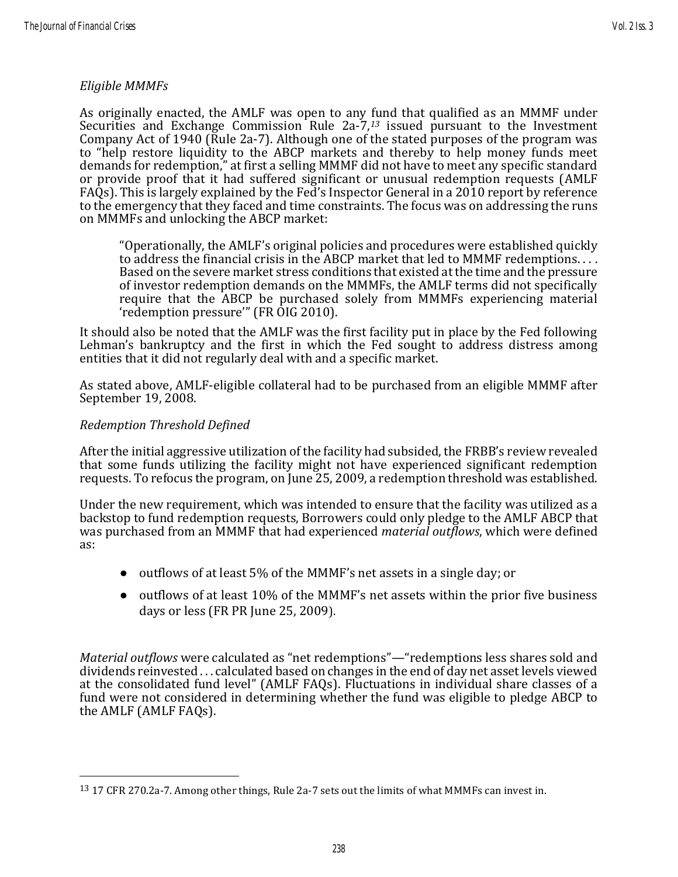#### *Eligible MMMFs*

As originally enacted, the AMLF was open to any fund that qualified as an MMMF under Securities and Exchange Commission Rule 2a-7, *<sup>13</sup>* issued pursuant to the Investment Company Act of 1940 (Rule 2a-7). Although one of the stated purposes of the program was to "help restore liquidity to the ABCP markets and thereby to help money funds meet demands for redemption," at first a selling MMMF did not have to meet any specific standard or provide proof that it had suffered significant or unusual redemption requests (AMLF FAQs). This is largely explained by the Fed's Inspector General in a 2010 report by reference to the emergency that they faced and time constraints. The focus was on addressing the runs on MMMFs and unlocking the ABCP market:

"Operationally, the AMLF's original policies and procedures were established quickly to address the financial crisis in the ABCP market that led to MMMF redemptions. . . . Based on the severe market stress conditions that existed at the time and the pressure of investor redemption demands on the MMMFs, the AMLF terms did not specifically require that the ABCP be purchased solely from MMMFs experiencing material 'redemption pressure'" (FR OIG 2010).

It should also be noted that the AMLF was the first facility put in place by the Fed following Lehman's bankruptcy and the first in which the Fed sought to address distress among entities that it did not regularly deal with and a specific market.

As stated above, AMLF-eligible collateral had to be purchased from an eligible MMMF after September 19, 2008.

#### *Redemption Threshold Defined*

After the initial aggressive utilization of the facility had subsided, the FRBB's review revealed that some funds utilizing the facility might not have experienced significant redemption requests. To refocus the program, on June 25, 2009, a redemption threshold was established.

Under the new requirement, which was intended to ensure that the facility was utilized as a backstop to fund redemption requests, Borrowers could only pledge to the AMLF ABCP that was purchased from an MMMF that had experienced *material outflows*, which were defined as:

- outflows of at least 5% of the MMMF's net assets in a single day; or
- outflows of at least 10% of the MMMF's net assets within the prior five business days or less (FR PR June 25, 2009).

*Material outflows* were calculated as "net redemptions"—"redemptions less shares sold and dividends reinvested . . . calculated based on changes in the end of day net asset levels viewed at the consolidated fund level" (AMLF FAQs). Fluctuations in individual share classes of a fund were not considered in determining whether the fund was eligible to pledge ABCP to the AMLF (AMLF FAQs).

<sup>13</sup> 17 CFR 270.2a-7. Among other things, Rule 2a-7 sets out the limits of what MMMFs can invest in.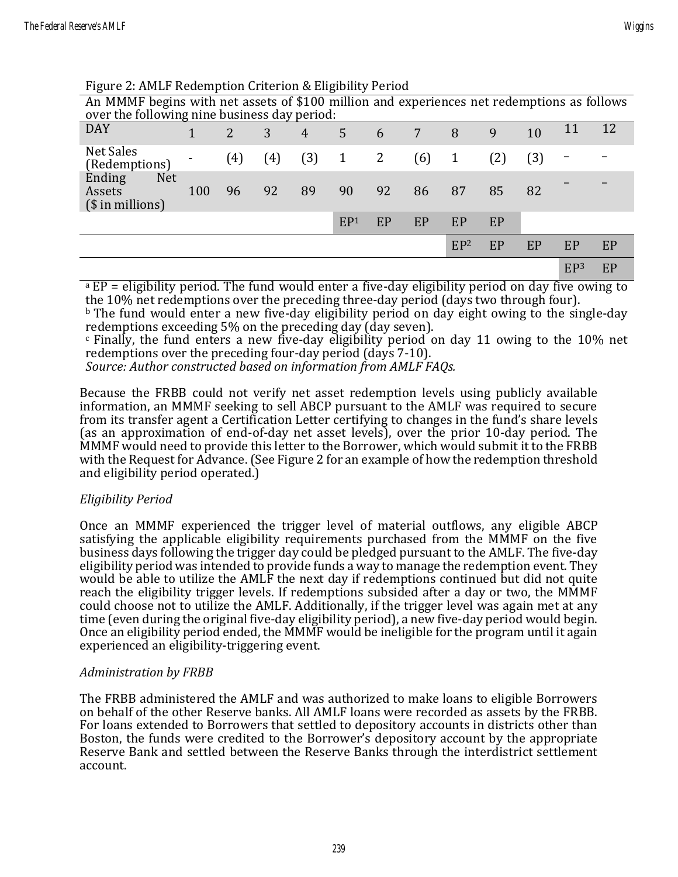Figure 2: AMLF Redemption Criterion & Eligibility Period

| An MMMF begins with net assets of \$100 million and experiences net redemptions as follows<br>over the following nine business day period: |     |     |     |                |                 |    |     |                 |     |                   |                 |    |
|--------------------------------------------------------------------------------------------------------------------------------------------|-----|-----|-----|----------------|-----------------|----|-----|-----------------|-----|-------------------|-----------------|----|
| <b>DAY</b>                                                                                                                                 |     | 2   | 3   | $\overline{4}$ | 5               | 6  | 7   | 8               | 9   | 10                | 11              | 12 |
| Net Sales<br>(Redemptions)                                                                                                                 |     | (4) | (4) | (3)            | $\mathbf{1}$    | 2  | (6) | 1               | (2) | $\left( 3\right)$ |                 |    |
| Ending<br><b>Net</b><br>Assets<br>$($$ in millions)                                                                                        | 100 | 96  | 92  | 89             | 90              | 92 | 86  | 87              | 85  | 82                |                 |    |
|                                                                                                                                            |     |     |     |                | EP <sup>1</sup> | EP | EP  | EP              | EP  |                   |                 |    |
|                                                                                                                                            |     |     |     |                |                 |    |     | EP <sup>2</sup> | EP  | EP                | EP              | EP |
|                                                                                                                                            |     |     |     |                |                 |    |     |                 |     |                   | EP <sup>3</sup> | EP |

<sup>a</sup> EP = eligibility period. The fund would enter a five-day eligibility period on day five owing to the 10% net redemptions over the preceding three-day period (days two through four).

<sup>b</sup> The fund would enter a new five-day eligibility period on day eight owing to the single-day redemptions exceeding 5% on the preceding day (day seven).

 $\epsilon$  Finally, the fund enters a new five-day eligibility period on day 11 owing to the 10% net redemptions over the preceding four-day period (days 7-10).

*Source: Author constructed based on information from AMLF FAQs.*

Because the FRBB could not verify net asset redemption levels using publicly available information, an MMMF seeking to sell ABCP pursuant to the AMLF was required to secure from its transfer agent a Certification Letter certifying to changes in the fund's share levels (as an approximation of end-of-day net asset levels), over the prior 10-day period. The MMMF would need to provide this letter to the Borrower, which would submit it to the FRBB with the Request for Advance. (See Figure 2 for an example of how the redemption threshold and eligibility period operated.)

#### *Eligibility Period*

Once an MMMF experienced the trigger level of material outflows, any eligible ABCP satisfying the applicable eligibility requirements purchased from the MMMF on the five business days following the trigger day could be pledged pursuant to the AMLF. The five-day eligibility period was intended to provide funds a way to manage the redemption event. They would be able to utilize the AMLF the next day if redemptions continued but did not quite reach the eligibility trigger levels. If redemptions subsided after a day or two, the MMMF could choose not to utilize the AMLF. Additionally, if the trigger level was again met at any time (even during the original five-day eligibility period), a new five-day period would begin. Once an eligibility period ended, the MMMF would be ineligible for the program until it again experienced an eligibility-triggering event.

#### *Administration by FRBB*

The FRBB administered the AMLF and was authorized to make loans to eligible Borrowers on behalf of the other Reserve banks. All AMLF loans were recorded as assets by the FRBB. For loans extended to Borrowers that settled to depository accounts in districts other than Boston, the funds were credited to the Borrower's depository account by the appropriate Reserve Bank and settled between the Reserve Banks through the interdistrict settlement account.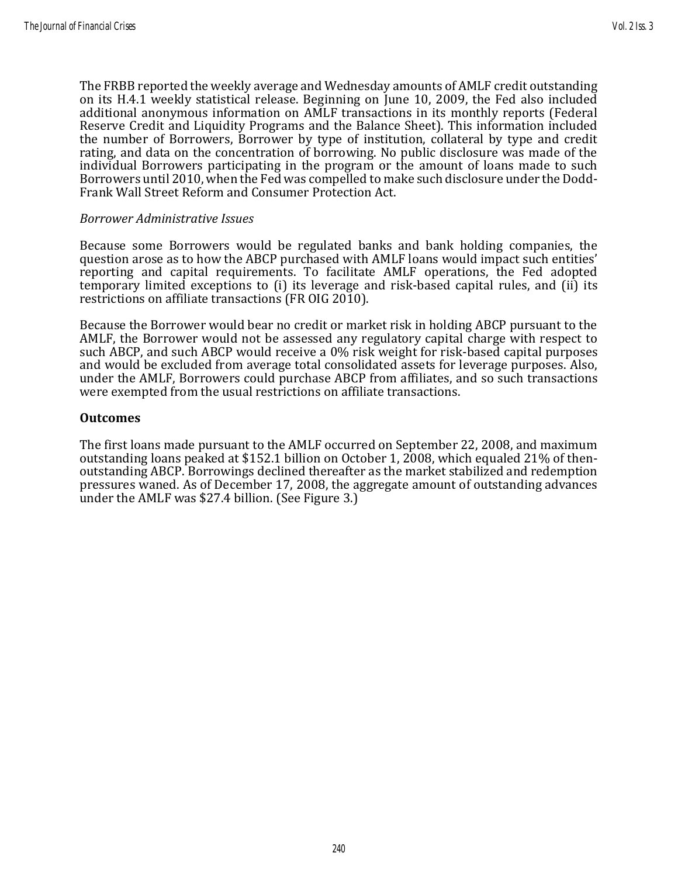The FRBB reported the weekly average and Wednesday amounts of AMLF credit outstanding on its H.4.1 weekly statistical release. Beginning on June 10, 2009, the Fed also included additional anonymous information on AMLF transactions in its monthly reports (Federal Reserve Credit and Liquidity Programs and the Balance Sheet). This information included the number of Borrowers, Borrower by type of institution, collateral by type and credit rating, and data on the concentration of borrowing. No public disclosure was made of the individual Borrowers participating in the program or the amount of loans made to such Borrowers until 2010, when the Fed was compelled to make such disclosure under the Dodd-Frank Wall Street Reform and Consumer Protection Act.

#### *Borrower Administrative Issues*

Because some Borrowers would be regulated banks and bank holding companies, the question arose as to how the ABCP purchased with AMLF loans would impact such entities' reporting and capital requirements. To facilitate AMLF operations, the Fed adopted temporary limited exceptions to (i) its leverage and risk-based capital rules, and (ii) its restrictions on affiliate transactions (FR OIG 2010).

Because the Borrower would bear no credit or market risk in holding ABCP pursuant to the AMLF, the Borrower would not be assessed any regulatory capital charge with respect to such ABCP, and such ABCP would receive a 0% risk weight for risk-based capital purposes and would be excluded from average total consolidated assets for leverage purposes. Also, under the AMLF, Borrowers could purchase ABCP from affiliates, and so such transactions were exempted from the usual restrictions on affiliate transactions.

#### **Outcomes**

The first loans made pursuant to the AMLF occurred on September 22, 2008, and maximum outstanding loans peaked at \$152.1 billion on October 1, 2008, which equaled 21% of thenoutstanding ABCP. Borrowings declined thereafter as the market stabilized and redemption pressures waned. As of December 17, 2008, the aggregate amount of outstanding advances under the AMLF was \$27.4 billion. (See Figure 3.)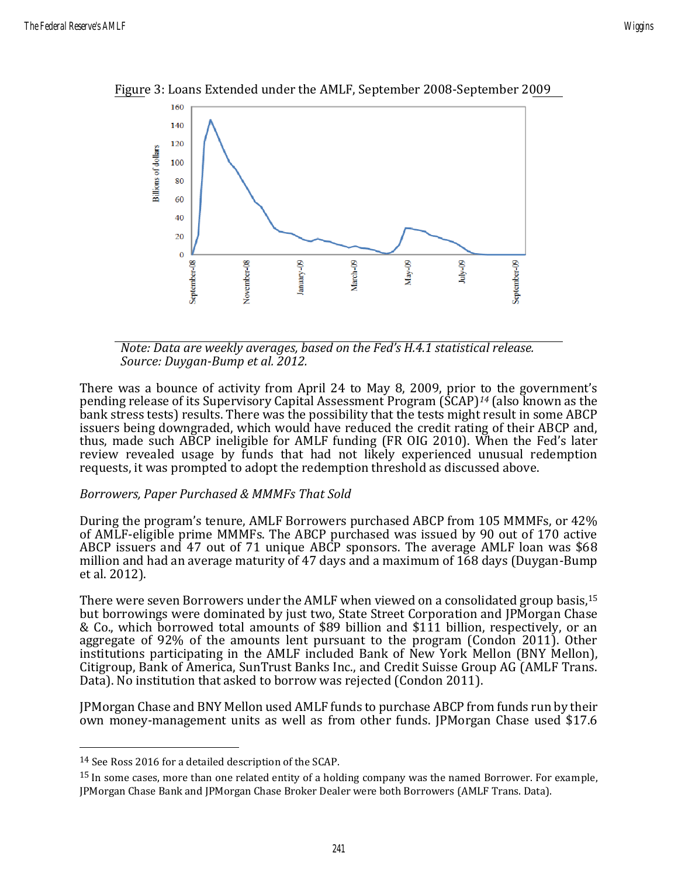

Figure 3: Loans Extended under the AMLF, September 2008-September 2009

*Note: Data are weekly averages, based on the Fed's H.4.1 statistical release. Source: Duygan-Bump et al. 2012.*

There was a bounce of activity from April 24 to May 8, 2009, prior to the government's pending release of its Supervisory Capital Assessment Program (SCAP)*<sup>14</sup>* (also known as the bank stress tests) results. There was the possibility that the tests might result in some ABCP issuers being downgraded, which would have reduced the credit rating of their ABCP and, thus, made such ABCP ineligible for AMLF funding (FR OIG 2010). When the Fed's later review revealed usage by funds that had not likely experienced unusual redemption requests, it was prompted to adopt the redemption threshold as discussed above.

#### *Borrowers, Paper Purchased & MMMFs That Sold*

During the program's tenure, AMLF Borrowers purchased ABCP from 105 MMMFs, or 42% of AMLF-eligible prime MMMFs. The ABCP purchased was issued by 90 out of 170 active ABCP issuers and 47 out of 71 unique ABCP sponsors. The average AMLF loan was \$68 million and had an average maturity of 47 days and a maximum of 168 days (Duygan-Bump et al. 2012).

There were seven Borrowers under the AMLF when viewed on a consolidated group basis,<sup>15</sup> but borrowings were dominated by just two, State Street Corporation and JPMorgan Chase & Co., which borrowed total amounts of \$89 billion and \$111 billion, respectively, or an aggregate of 92% of the amounts lent pursuant to the program (Condon 2011). Other institutions participating in the AMLF included Bank of New York Mellon (BNY Mellon), Citigroup, Bank of America, SunTrust Banks Inc., and Credit Suisse Group AG (AMLF Trans. Data). No institution that asked to borrow was rejected (Condon 2011).

JPMorgan Chase and BNY Mellon used AMLF funds to purchase ABCP from funds run by their own money-management units as well as from other funds. JPMorgan Chase used \$17.6

<sup>14</sup> See Ross 2016 for a detailed description of the SCAP.

<sup>&</sup>lt;sup>15</sup> In some cases, more than one related entity of a holding company was the named Borrower. For example, JPMorgan Chase Bank and JPMorgan Chase Broker Dealer were both Borrowers (AMLF Trans. Data).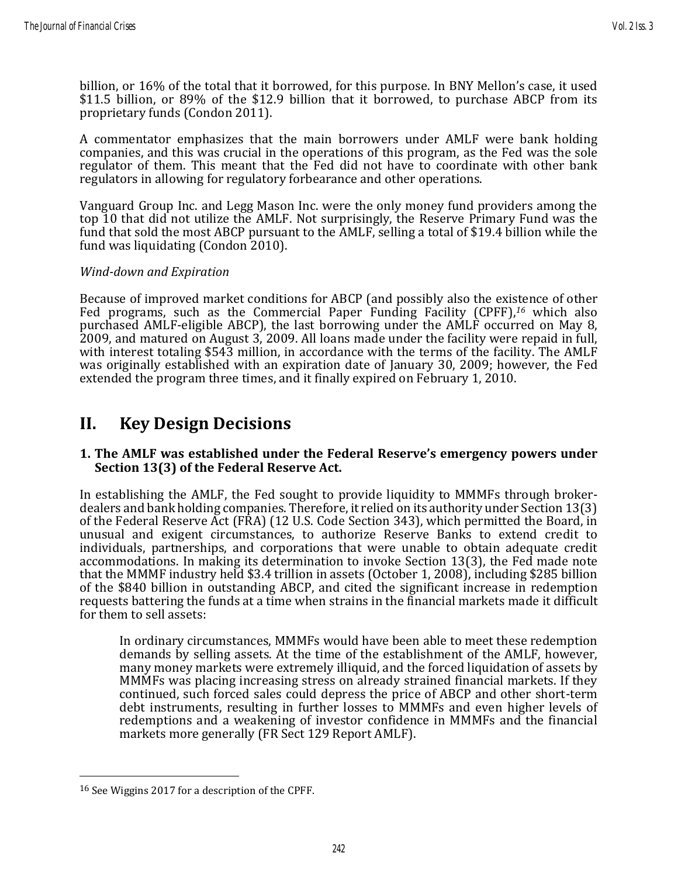billion, or 16% of the total that it borrowed, for this purpose. In BNY Mellon's case, it used \$11.5 billion, or 89% of the \$12.9 billion that it borrowed, to purchase ABCP from its proprietary funds (Condon 2011).

A commentator emphasizes that the main borrowers under AMLF were bank holding companies, and this was crucial in the operations of this program, as the Fed was the sole regulator of them. This meant that the Fed did not have to coordinate with other bank regulators in allowing for regulatory forbearance and other operations.

Vanguard Group Inc. and Legg Mason Inc. were the only money fund providers among the top 10 that did not utilize the AMLF. Not surprisingly, the Reserve Primary Fund was the fund that sold the most ABCP pursuant to the AMLF, selling a total of \$19.4 billion while the fund was liquidating (Condon 2010).

#### *Wind-down and Expiration*

Because of improved market conditions for ABCP (and possibly also the existence of other Fed programs, such as the Commercial Paper Funding Facility (CPFF), *<sup>16</sup>* which also purchased AMLF-eligible ABCP), the last borrowing under the AMLF occurred on May 8, 2009, and matured on August 3, 2009. All loans made under the facility were repaid in full, with interest totaling \$543 million, in accordance with the terms of the facility. The AMLF was originally established with an expiration date of January 30, 2009; however, the Fed extended the program three times, and it finally expired on February 1, 2010.

## **II. Key Design Decisions**

#### **1. The AMLF was established under the Federal Reserve's emergency powers under Section 13(3) of the Federal Reserve Act.**

In establishing the AMLF, the Fed sought to provide liquidity to MMMFs through brokerdealers and bank holding companies. Therefore, it relied on its authority under Section 13(3) of the Federal Reserve Act (FRA) (12 U.S. Code Section 343), which permitted the Board, in unusual and exigent circumstances, to authorize Reserve Banks to extend credit to individuals, partnerships, and corporations that were unable to obtain adequate credit accommodations. In making its determination to invoke Section 13(3), the Fed made note that the MMMF industry held \$3.4 trillion in assets (October 1, 2008), including \$285 billion of the \$840 billion in outstanding ABCP, and cited the significant increase in redemption requests battering the funds at a time when strains in the financial markets made it difficult for them to sell assets:

In ordinary circumstances, MMMFs would have been able to meet these redemption demands by selling assets. At the time of the establishment of the AMLF, however, many money markets were extremely illiquid, and the forced liquidation of assets by MMMFs was placing increasing stress on already strained financial markets. If they continued, such forced sales could depress the price of ABCP and other short-term debt instruments, resulting in further losses to MMMFs and even higher levels of redemptions and a weakening of investor confidence in MMMFs and the financial markets more generally (FR Sect 129 Report AMLF).

<sup>&</sup>lt;sup>16</sup> See Wiggins 2017 for a description of the CPFF.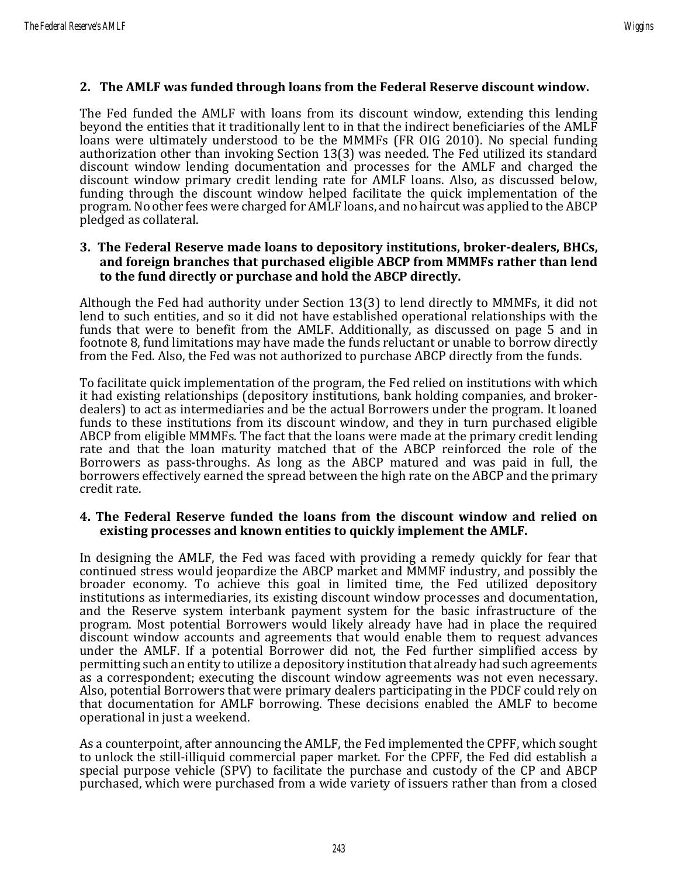#### **2. The AMLF was funded through loans from the Federal Reserve discount window.**

The Fed funded the AMLF with loans from its discount window, extending this lending beyond the entities that it traditionally lent to in that the indirect beneficiaries of the AMLF loans were ultimately understood to be the MMMFs (FR OIG 2010). No special funding authorization other than invoking Section 13(3) was needed. The Fed utilized its standard discount window lending documentation and processes for the AMLF and charged the discount window primary credit lending rate for AMLF loans. Also, as discussed below, funding through the discount window helped facilitate the quick implementation of the program. No other fees were charged for AMLF loans, and no haircut was applied to the ABCP pledged as collateral.

#### **3. The Federal Reserve made loans to depository institutions, broker-dealers, BHCs, and foreign branches that purchased eligible ABCP from MMMFs rather than lend to the fund directly or purchase and hold the ABCP directly.**

Although the Fed had authority under Section 13(3) to lend directly to MMMFs, it did not lend to such entities, and so it did not have established operational relationships with the funds that were to benefit from the AMLF. Additionally, as discussed on page 5 and in footnote 8, fund limitations may have made the funds reluctant or unable to borrow directly from the Fed. Also, the Fed was not authorized to purchase ABCP directly from the funds.

To facilitate quick implementation of the program, the Fed relied on institutions with which it had existing relationships (depository institutions, bank holding companies, and brokerdealers) to act as intermediaries and be the actual Borrowers under the program. It loaned funds to these institutions from its discount window, and they in turn purchased eligible ABCP from eligible MMMFs. The fact that the loans were made at the primary credit lending rate and that the loan maturity matched that of the ABCP reinforced the role of the Borrowers as pass-throughs. As long as the ABCP matured and was paid in full, the borrowers effectively earned the spread between the high rate on the ABCP and the primary credit rate.

#### **4. The Federal Reserve funded the loans from the discount window and relied on existing processes and known entities to quickly implement the AMLF.**

In designing the AMLF, the Fed was faced with providing a remedy quickly for fear that continued stress would jeopardize the ABCP market and MMMF industry, and possibly the broader economy. To achieve this goal in limited time, the Fed utilized depository institutions as intermediaries, its existing discount window processes and documentation, and the Reserve system interbank payment system for the basic infrastructure of the program. Most potential Borrowers would likely already have had in place the required discount window accounts and agreements that would enable them to request advances under the AMLF. If a potential Borrower did not, the Fed further simplified access by permitting such an entity to utilize a depository institution that already had such agreements as a correspondent; executing the discount window agreements was not even necessary. Also, potential Borrowers that were primary dealers participating in the PDCF could rely on that documentation for AMLF borrowing. These decisions enabled the AMLF to become operational in just a weekend.

As a counterpoint, after announcing the AMLF, the Fed implemented the CPFF, which sought to unlock the still-illiquid commercial paper market. For the CPFF, the Fed did establish a special purpose vehicle (SPV) to facilitate the purchase and custody of the CP and ABCP purchased, which were purchased from a wide variety of issuers rather than from a closed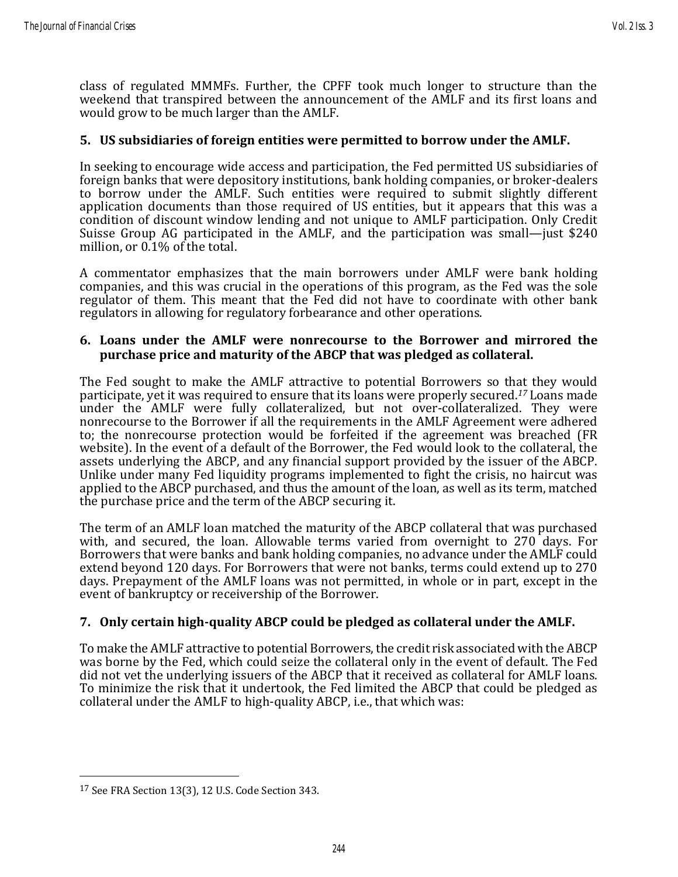class of regulated MMMFs. Further, the CPFF took much longer to structure than the weekend that transpired between the announcement of the AMLF and its first loans and would grow to be much larger than the AMLF.

#### **5. US subsidiaries of foreign entities were permitted to borrow under the AMLF.**

In seeking to encourage wide access and participation, the Fed permitted US subsidiaries of foreign banks that were depository institutions, bank holding companies, or broker-dealers to borrow under the AMLF. Such entities were required to submit slightly different application documents than those required of US entities, but it appears that this was a condition of discount window lending and not unique to AMLF participation. Only Credit Suisse Group AG participated in the AMLF, and the participation was small—just \$240 million, or 0.1% of the total.

A commentator emphasizes that the main borrowers under AMLF were bank holding companies, and this was crucial in the operations of this program, as the Fed was the sole regulator of them. This meant that the Fed did not have to coordinate with other bank regulators in allowing for regulatory forbearance and other operations.

#### **6. Loans under the AMLF were nonrecourse to the Borrower and mirrored the purchase price and maturity of the ABCP that was pledged as collateral.**

The Fed sought to make the AMLF attractive to potential Borrowers so that they would participate, yet it was required to ensure that its loans were properly secured. *<sup>17</sup>* Loans made under the AMLF were fully collateralized, but not over-collateralized. They were nonrecourse to the Borrower if all the requirements in the AMLF Agreement were adhered to; the nonrecourse protection would be forfeited if the agreement was breached (FR website). In the event of a default of the Borrower, the Fed would look to the collateral, the assets underlying the ABCP, and any financial support provided by the issuer of the ABCP. Unlike under many Fed liquidity programs implemented to fight the crisis, no haircut was applied to the ABCP purchased, and thus the amount of the loan, as well as its term, matched the purchase price and the term of the ABCP securing it.

The term of an AMLF loan matched the maturity of the ABCP collateral that was purchased with, and secured, the loan. Allowable terms varied from overnight to 270 days. For Borrowers that were banks and bank holding companies, no advance under the AMLF could extend beyond 120 days. For Borrowers that were not banks, terms could extend up to 270 days. Prepayment of the AMLF loans was not permitted, in whole or in part, except in the event of bankruptcy or receivership of the Borrower.

#### **7. Only certain high-quality ABCP could be pledged as collateral under the AMLF.**

To make the AMLF attractive to potential Borrowers, the credit risk associated with the ABCP was borne by the Fed, which could seize the collateral only in the event of default. The Fed did not vet the underlying issuers of the ABCP that it received as collateral for AMLF loans. To minimize the risk that it undertook, the Fed limited the ABCP that could be pledged as collateral under the AMLF to high-quality ABCP, i.e., that which was:

<sup>17</sup> See FRA Section 13(3), 12 U.S. Code Section 343.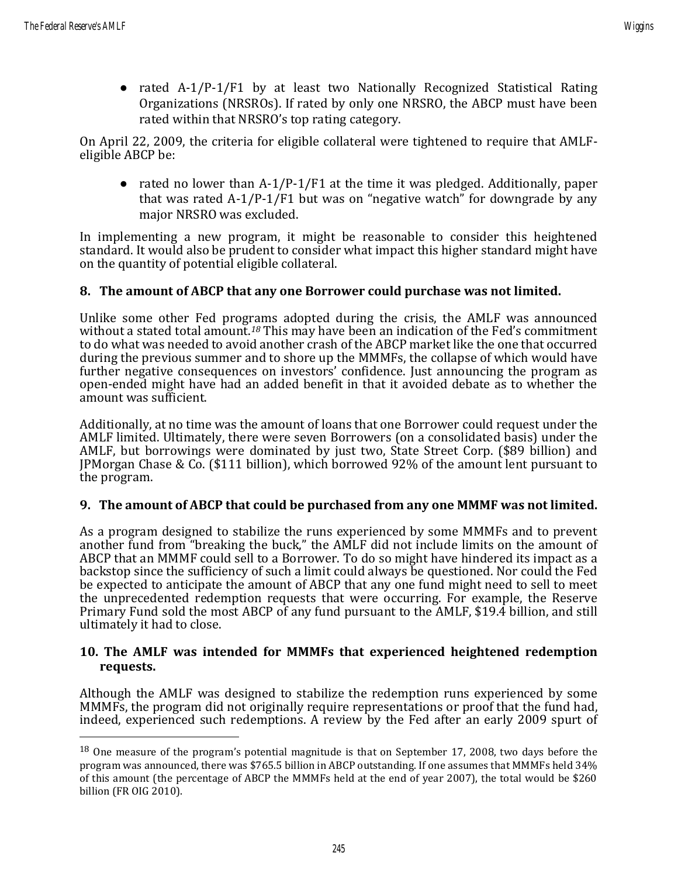• rated A-1/P-1/F1 by at least two Nationally Recognized Statistical Rating Organizations (NRSROs). If rated by only one NRSRO, the ABCP must have been rated within that NRSRO's top rating category.

On April 22, 2009, the criteria for eligible collateral were tightened to require that AMLFeligible ABCP be:

• rated no lower than  $A-1/P-1/F1$  at the time it was pledged. Additionally, paper that was rated A-1/P-1/F1 but was on "negative watch" for downgrade by any major NRSRO was excluded.

In implementing a new program, it might be reasonable to consider this heightened standard. It would also be prudent to consider what impact this higher standard might have on the quantity of potential eligible collateral.

#### **8. The amount of ABCP that any one Borrower could purchase was not limited.**

Unlike some other Fed programs adopted during the crisis, the AMLF was announced without a stated total amount.*<sup>18</sup>* This may have been an indication of the Fed's commitment to do what was needed to avoid another crash of the ABCP market like the one that occurred during the previous summer and to shore up the MMMFs, the collapse of which would have further negative consequences on investors' confidence. Just announcing the program as open-ended might have had an added benefit in that it avoided debate as to whether the amount was sufficient.

Additionally, at no time was the amount of loans that one Borrower could request under the AMLF limited. Ultimately, there were seven Borrowers (on a consolidated basis) under the AMLF, but borrowings were dominated by just two, State Street Corp. (\$89 billion) and JPMorgan Chase & Co. (\$111 billion), which borrowed 92% of the amount lent pursuant to the program.

#### **9. The amount of ABCP that could be purchased from any one MMMF was not limited.**

As a program designed to stabilize the runs experienced by some MMMFs and to prevent another fund from "breaking the buck," the AMLF did not include limits on the amount of ABCP that an MMMF could sell to a Borrower. To do so might have hindered its impact as a backstop since the sufficiency of such a limit could always be questioned. Nor could the Fed be expected to anticipate the amount of ABCP that any one fund might need to sell to meet the unprecedented redemption requests that were occurring. For example, the Reserve Primary Fund sold the most ABCP of any fund pursuant to the AMLF, \$19.4 billion, and still ultimately it had to close.

#### **10. The AMLF was intended for MMMFs that experienced heightened redemption requests.**

Although the AMLF was designed to stabilize the redemption runs experienced by some MMMFs, the program did not originally require representations or proof that the fund had, indeed, experienced such redemptions. A review by the Fed after an early 2009 spurt of

<sup>&</sup>lt;sup>18</sup> One measure of the program's potential magnitude is that on September 17, 2008, two days before the program was announced, there was \$765.5 billion in ABCP outstanding. If one assumes that MMMFs held 34% of this amount (the percentage of ABCP the MMMFs held at the end of year 2007), the total would be \$260 billion [\(FR OIG 2010\)](http://oig.federalreserve.gov/reports/FRS_Lending_Facilities_Report_final-11-23-10_web.pdf).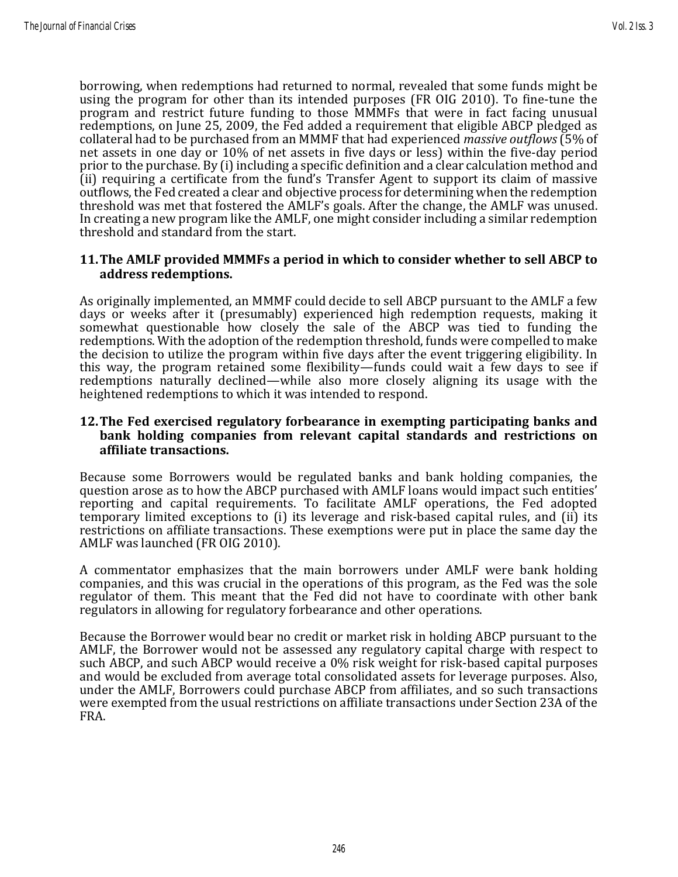borrowing, when redemptions had returned to normal, revealed that some funds might be using the program for other than its intended purposes (FR OIG 2010). To fine-tune the program and restrict future funding to those MMMFs that were in fact facing unusual redemptions, on June 25, 2009, the Fed added a requirement that eligible ABCP pledged as collateral had to be purchased from an MMMF that had experienced *massive outflows* (5% of net assets in one day or 10% of net assets in five days or less) within the five-day period prior to the purchase. By (i) including a specific definition and a clear calculation method and (ii) requiring a certificate from the fund's Transfer Agent to support its claim of massive outflows, the Fed created a clear and objective process for determining when the redemption threshold was met that fostered the AMLF's goals. After the change, the AMLF was unused. In creating a new program like the AMLF, one might consider including a similar redemption threshold and standard from the start.

#### **11.The AMLF provided MMMFs a period in which to consider whether to sell ABCP to address redemptions.**

As originally implemented, an MMMF could decide to sell ABCP pursuant to the AMLF a few days or weeks after it (presumably) experienced high redemption requests, making it somewhat questionable how closely the sale of the ABCP was tied to funding the redemptions. With the adoption of the redemption threshold, funds were compelled to make the decision to utilize the program within five days after the event triggering eligibility. In this way, the program retained some flexibility—funds could wait a few days to see if redemptions naturally declined—while also more closely aligning its usage with the heightened redemptions to which it was intended to respond.

#### **12.The Fed exercised regulatory forbearance in exempting participating banks and bank holding companies from relevant capital standards and restrictions on affiliate transactions.**

Because some Borrowers would be regulated banks and bank holding companies, the question arose as to how the ABCP purchased with AMLF loans would impact such entities' reporting and capital requirements. To facilitate AMLF operations, the Fed adopted temporary limited exceptions to (i) its leverage and risk-based capital rules, and (ii) its restrictions on affiliate transactions. These exemptions were put in place the same day the AMLF was launched (FR OIG 2010).

A commentator emphasizes that the main borrowers under AMLF were bank holding companies, and this was crucial in the operations of this program, as the Fed was the sole regulator of them. This meant that the Fed did not have to coordinate with other bank regulators in allowing for regulatory forbearance and other operations.

Because the Borrower would bear no credit or market risk in holding ABCP pursuant to the AMLF, the Borrower would not be assessed any regulatory capital charge with respect to such ABCP, and such ABCP would receive a 0% risk weight for risk-based capital purposes and would be excluded from average total consolidated assets for leverage purposes. Also, under the AMLF, Borrowers could purchase ABCP from affiliates, and so such transactions were exempted from the usual restrictions on affiliate transactions under Section 23A of the FRA.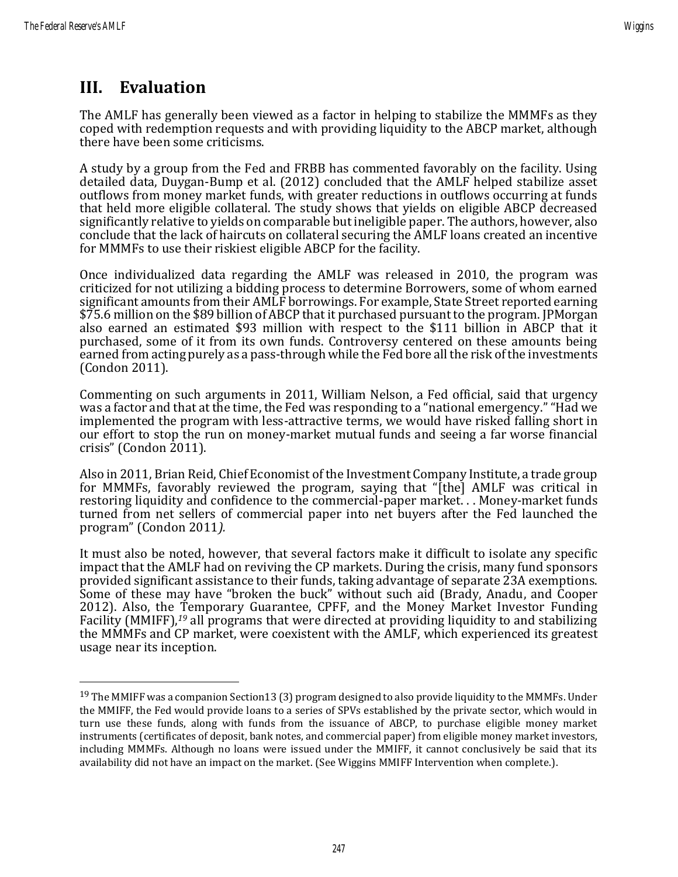## **III. Evaluation**

The AMLF has generally been viewed as a factor in helping to stabilize the MMMFs as they coped with redemption requests and with providing liquidity to the ABCP market, although there have been some criticisms.

A study by a group from the Fed and FRBB has commented favorably on the facility. Using detailed data, Duygan-Bump et al. (2012) concluded that the AMLF helped stabilize asset outflows from money market funds, with greater reductions in outflows occurring at funds that held more eligible collateral. The study shows that yields on eligible ABCP decreased significantly relative to yields on comparable but ineligible paper. The authors, however, also conclude that the lack of haircuts on collateral securing the AMLF loans created an incentive for MMMFs to use their riskiest eligible ABCP for the facility.

Once individualized data regarding the AMLF was released in 2010, the program was criticized for not utilizing a bidding process to determine Borrowers, some of whom earned significant amounts from their AMLF borrowings. For example, State Street reported earning \$75.6 million on the \$89 billion of ABCP that it purchased pursuant to the program. JPMorgan also earned an estimated \$93 million with respect to the \$111 billion in ABCP that it purchased, some of it from its own funds. Controversy centered on these amounts being earned from acting purely as a pass-through while the Fed bore all the risk of the investments (Condon 2011).

Commenting on such arguments in 2011, William Nelson, a Fed official, said that urgency was a factor and that at the time, the Fed was responding to a "national emergency." "Had we implemented the program with less-attractive terms, we would have risked falling short in our effort to stop the run on money-market mutual funds and seeing a far worse financial crisis" (Condon 2011).

Also in 2011, Brian Reid, Chief Economist of the Investment Company Institute, a trade group for MMMFs, favorably reviewed the program, saying that "[the] AMLF was critical in restoring liquidity and confidence to the commercial-paper market. . . Money-market funds turned from net sellers of commercial paper into net buyers after the Fed launched the program" (Condon 2011*).*

It must also be noted, however, that several factors make it difficult to isolate any specific impact that the AMLF had on reviving the CP markets. During the crisis, many fund sponsors provided significant assistance to their funds, taking advantage of separate 23A exemptions. Some of these may have "broken the buck" without such aid (Brady, Anadu, and Cooper 2012). Also, the Temporary Guarantee, CPFF, and the Money Market Investor Funding Facility (MMIFF),<sup>19</sup> all programs that were directed at providing liquidity to and stabilizing the MMMFs and CP market, were coexistent with the AMLF, which experienced its greatest usage near its inception.

<sup>&</sup>lt;sup>19</sup> The MMIFF was a companion Section13 (3) program designed to also provide liquidity to the MMMFs. Under the MMIFF, the Fed would provide loans to a series of SPVs established by the private sector, which would in turn use these funds, along with funds from the issuance of ABCP, to purchase eligible money market instruments (certificates of deposit, bank notes, and commercial paper) from eligible money market investors, including MMMFs. Although no loans were issued under the MMIFF, it cannot conclusively be said that its availability did not have an impact on the market. (See Wiggins MMIFF Intervention when complete.).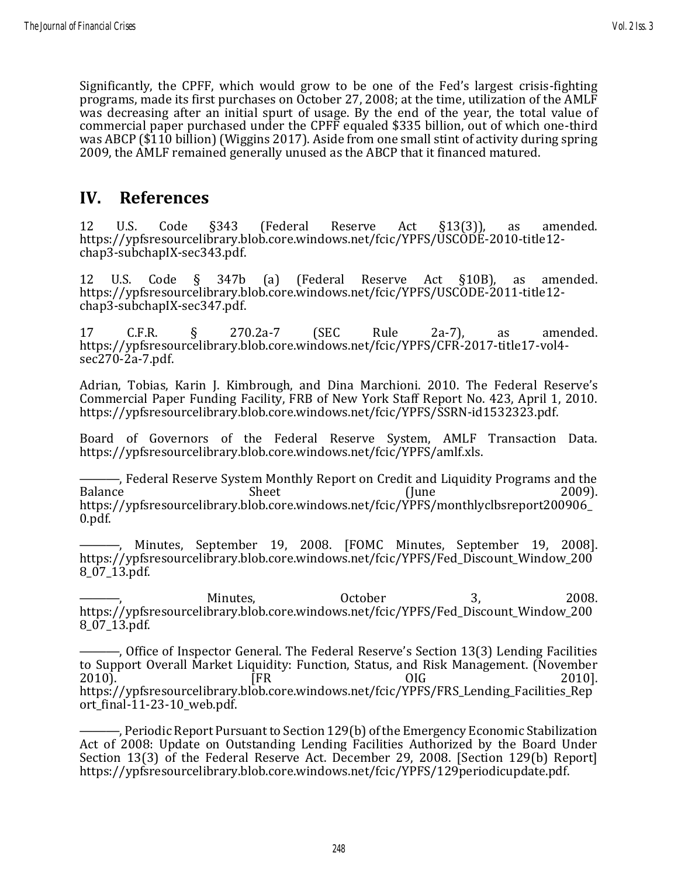Significantly, the CPFF, which would grow to be one of the Fed's largest crisis-fighting programs, made its first purchases on October 27, 2008; at the time, utilization of the AMLF was decreasing after an initial spurt of usage. By the end of the year, the total value of commercial paper purchased under the CPFF equaled \$335 billion, out of which one-third was ABCP (\$110 billion) (Wiggins 2017). Aside from one small stint of activity during spring 2009, the AMLF remained generally unused as the ABCP that it financed matured.

### **IV. References**

12 U.S. Code §343 (Federal Reserve Act §13(3)), as amended. https://ypfsresourcelibrary.blob.core.windows.net/fcic/YPFS/USCODE-2010-title12chap3-subchapIX-sec343.pdf.

12 U.S. Code § 347b (a) (Federal Reserve Act §10B), as amended. https://ypfsresourcelibrary.blob.core.windows.net/fcic/YPFS/USCODE-2011-title12 chap3-subchapIX-sec347.pdf.

17 C.F.R. § 270.2a-7 (SEC Rule 2a-7), as amended. https://ypfsresourcelibrary.blob.core.windows.net/fcic/YPFS/CFR-2017-title17-vol4 sec270-2a-7.pdf.

Adrian, Tobias, Karin J. Kimbrough, and Dina Marchioni. 2010. The Federal Reserve's Commercial Paper Funding Facility, FRB of New York Staff Report No. 423, April 1, 2010. https://ypfsresourcelibrary.blob.core.windows.net/fcic/YPFS/SSRN-id1532323.pdf.

Board of Governors of the Federal Reserve System, AMLF Transaction Data. https://ypfsresourcelibrary.blob.core.windows.net/fcic/YPFS/amlf.xls.

—, Federal Reserve System Monthly Report on Credit and Liquidity Programs and the<br>1009). Sheet (June Balance Sheet (June 2009). https://ypfsresourcelibrary.blob.core.windows.net/fcic/YPFS/monthlyclbsreport200906\_ 0.pdf.

Minutes, September 19, 2008. [FOMC Minutes, September 19, 2008]. https://ypfsresourcelibrary.blob.core.windows.net/fcic/YPFS/Fed\_Discount\_Window\_200 8\_07\_13.pdf.

———, Minutes, October 3, 2008. https://ypfsresourcelibrary.blob.core.windows.net/fcic/YPFS/Fed\_Discount\_Window\_200 8\_07\_13.pdf.

———, Office of Inspector General. The Federal Reserve's Section 13(3) Lending Facilities to Support Overall Market Liquidity: Function, Status, and Risk Management. (November 2010). [FR OIG 2010]. https://ypfsresourcelibrary.blob.core.windows.net/fcic/YPFS/FRS\_Lending\_Facilities\_Rep ort\_final-11-23-10\_web.pdf.

———, Periodic Report Pursuant to Section 129(b) of the Emergency Economic Stabilization Act of 2008: Update on Outstanding Lending Facilities Authorized by the Board Under Section 13(3) of the Federal Reserve Act. December 29, 2008. [Section 129(b) Report] https://ypfsresourcelibrary.blob.core.windows.net/fcic/YPFS/129periodicupdate.pdf.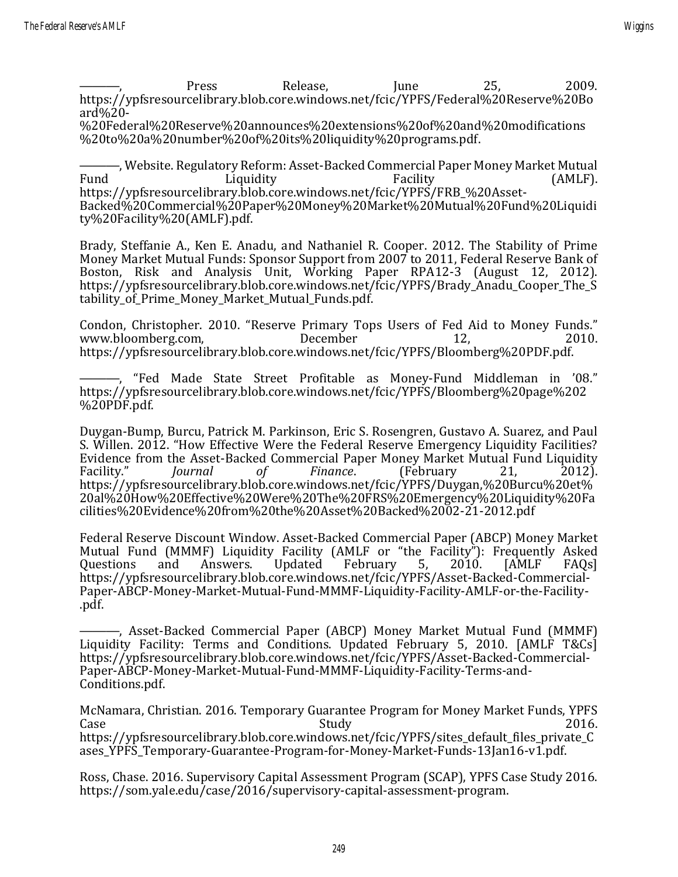———, Press Release, June 25, 2009. https://ypfsresourcelibrary.blob.core.windows.net/fcic/YPFS/Federal%20Reserve%20Bo ard%20-

%20Federal%20Reserve%20announces%20extensions%20of%20and%20modifications %20to%20a%20number%20of%20its%20liquidity%20programs.pdf.

———, Website. Regulatory Reform: Asset-Backed Commercial Paper Money Market Mutual Fund Liquidity Eacility (AMLF). https://ypfsresourcelibrary.blob.core.windows.net/fcic/YPFS/FRB\_%20Asset-Backed%20Commercial%20Paper%20Money%20Market%20Mutual%20Fund%20Liquidi ty%20Facility%20(AMLF).pdf.

Brady, Steffanie A., Ken E. Anadu, and Nathaniel R. Cooper. 2012. The Stability of Prime Money Market Mutual Funds: Sponsor Support from 2007 to 2011, Federal Reserve Bank of Boston, Risk and Analysis Unit, Working Paper RPA12-3 (August 12, 2012). https://ypfsresourcelibrary.blob.core.windows.net/fcic/YPFS/Brady\_Anadu\_Cooper\_The\_S tability of Prime Money Market Mutual Funds.pdf.

Condon, Christopher. 2010. "Reserve Primary Tops Users of Fed Aid to Money Funds." www.bloomberg.com, December 12, 2010. https://ypfsresourcelibrary.blob.core.windows.net/fcic/YPFS/Bloomberg%20PDF.pdf.

———, "Fed Made State Street Profitable as Money-Fund Middleman in '08." https://ypfsresourcelibrary.blob.core.windows.net/fcic/YPFS/Bloomberg%20page%202 %20PDF.pdf.

Duygan-Bump, Burcu, Patrick M. Parkinson, [Eric S. Rosengren,](http://www.bostonfed.org/about/president/rosengren.htm) Gustavo A. Suarez, and Paul S. Willen. 2012. "How Effective Were the Federal Reserve Emergency Liquidity Facilities? Evidence from the Asset-Backed Commercial Paper Money Market Mutual Fund Liquidity Facility." *Journal of Finance*. (February 21, 2012). https://ypfsresourcelibrary.blob.core.windows.net/fcic/YPFS/Duygan,%20Burcu%20et% 20al%20How%20Effective%20Were%20The%20FRS%20Emergency%20Liquidity%20Fa cilities%20Evidence%20from%20the%20Asset%20Backed%2002-21-2012.pdf

Federal Reserve Discount Window. Asset-Backed Commercial Paper (ABCP) Money Market Mutual Fund (MMMF) Liquidity Facility (AMLF or "the Facility"): Frequently Asked Questions and Answers. Updated February 5, 2010. [AMLF FAQs] https://ypfsresourcelibrary.blob.core.windows.net/fcic/YPFS/Asset-Backed-Commercial-Paper-ABCP-Money-Market-Mutual-Fund-MMMF-Liquidity-Facility-AMLF-or-the-Facility- .pdf.

–, Asset-Backed Commercial Paper (ABCP) Money Market Mutual Fund (MMMF) Liquidity Facility: Terms and Conditions. Updated February 5, 2010. [AMLF T&Cs] https://ypfsresourcelibrary.blob.core.windows.net/fcic/YPFS/Asset-Backed-Commercial-Paper-ABCP-Money-Market-Mutual-Fund-MMMF-Liquidity-Facility-Terms-and-Conditions.pdf.

McNamara, Christian. 2016. Temporary Guarantee Program for Money Market Funds, YPFS Case 2016. https://ypfsresourcelibrary.blob.core.windows.net/fcic/YPFS/sites\_default\_files\_private\_C ases\_YPFS\_Temporary-Guarantee-Program-for-Money-Market-Funds-13Jan16-v1.pdf.

Ross, Chase. 2016. Supervisory Capital Assessment Program (SCAP), YPFS Case Study 2016. https://som.yale.edu/case/2016/supervisory-capital-assessment-program.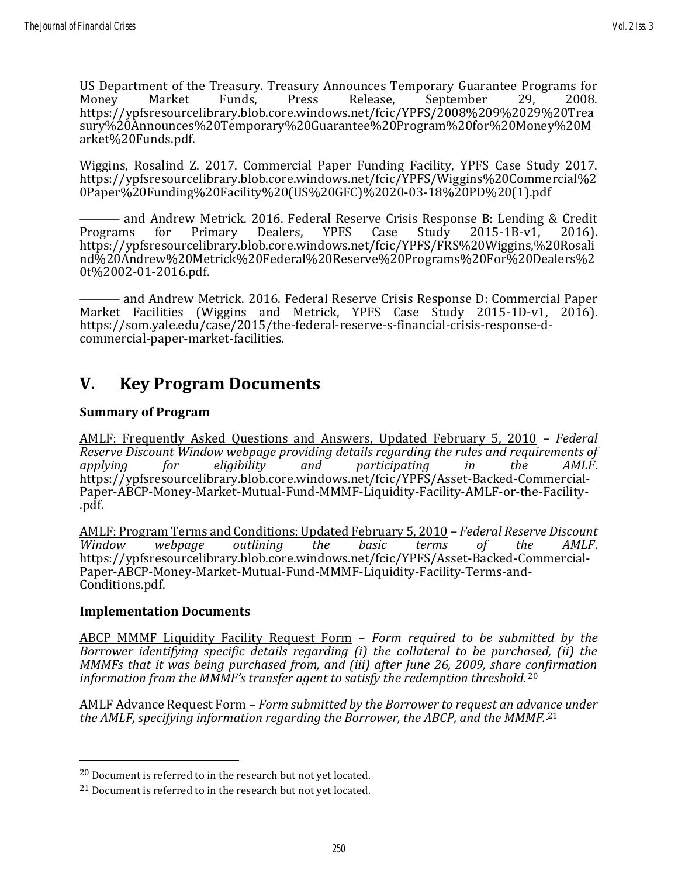US Department of the Treasury. Treasury Announces Temporary Guarantee Programs for<br>
Money Market Funds. Press Release. September 29, 2008. Money Market Funds, Press Release, September 29, 2008. https://ypfsresourcelibrary.blob.core.windows.net/fcic/YPFS/2008%209%2029%20Trea sury%20Announces%20Temporary%20Guarantee%20Program%20for%20Money%20M arket%20Funds.pdf.

Wiggins, Rosalind Z. 2017. Commercial Paper Funding Facility, YPFS Case Study 2017. https://ypfsresourcelibrary.blob.core.windows.net/fcic/YPFS/Wiggins%20Commercial%2 0Paper%20Funding%20Facility%20(US%20GFC)%2020-03-18%20PD%20(1).pdf

——— and Andrew Metrick. 2016. Federal Reserve Crisis Response B: Lending & Credit Programs for Primary Dealers, YPFS Case Study 2015-1B-v1, 2016). https://ypfsresourcelibrary.blob.core.windows.net/fcic/YPFS/FRS%20Wiggins,%20Rosali nd%20Andrew%20Metrick%20Federal%20Reserve%20Programs%20For%20Dealers%2 0t%2002-01-2016.pdf.

——— and Andrew Metrick. 2016. Federal Reserve Crisis Response D: Commercial Paper Market Facilities (Wiggins and Metrick, YPFS Case Study 2015-1D-v1, 2016). https://som.yale.edu/case/2015/the-federal-reserve-s-financial-crisis-response-dcommercial-paper-market-facilities.

## **V. Key Program Documents**

#### **Summary of Program**

[AMLF: Frequently Asked Questions and Answers, Updated February 5, 2010](https://www.frbdiscountwindow.org/Home/GeneralPages/Asset-Backed-Commercial-Paper-ABCP-Money-Market-Mutual-Fund-MMMF-Liquidity-Facility-AMLF-or-the-Facility-) – *Federal Reserve Discount Window webpage providing details regarding the rules and requirements of applying for eligibility and participating in the AMLF*. https://ypfsresourcelibrary.blob.core.windows.net/fcic/YPFS/Asset-Backed-Commercial-Paper-ABCP-Money-Market-Mutual-Fund-MMMF-Liquidity-Facility-AMLF-or-the-Facility- .pdf.

[AMLF: Program Terms and Conditions: Updated February 5, 2010](https://www.frbdiscountwindow.org/Home/GeneralPages/Asset-Backed-Commercial-Paper-ABCP-Money-Market-Mutual-Fund-MMMF-Liquidity-Facility-Terms-and-Conditions) – *Federal Reserve Discount Window webpage outlining the basic terms of the AMLF*. https://ypfsresourcelibrary.blob.core.windows.net/fcic/YPFS/Asset-Backed-Commercial-Paper-ABCP-Money-Market-Mutual-Fund-MMMF-Liquidity-Facility-Terms-and-Conditions.pdf.

#### **Implementation Documents**

ABCP MMMF Liquidity Facility Request Form – *Form required to be submitted by the Borrower identifying specific details regarding (i) the collateral to be purchased, (ii) the MMMFs that it was being purchased from, and (iii) after June 26, 2009, share confirmation information from the MMMF's transfer agent to satisfy the redemption threshold.* <sup>20</sup>

AMLF Advance Request Form – *Form submitted by the Borrower to request an advance under the AMLF, specifying information regarding the Borrower, the ABCP, and the MMMF.* <sup>21</sup>

<sup>&</sup>lt;sup>20</sup> Document is referred to in the research but not yet located.

<sup>&</sup>lt;sup>21</sup> Document is referred to in the research but not yet located.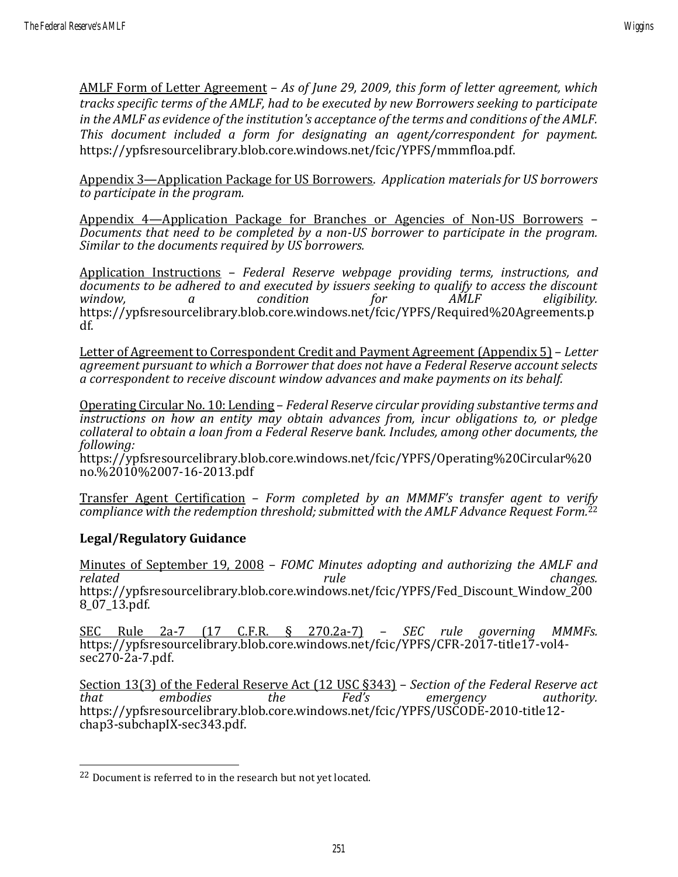AMLF Form of Letter Agreement – *As of June 29, 2009, this form of letter agreement, which tracks specific terms of the AMLF, had to be executed by new Borrowers seeking to participate in the AMLF as evidence of the institution's acceptance of the terms and conditions of the AMLF. This document included a form for designating an agent/correspondent for payment.* https://ypfsresourcelibrary.blob.core.windows.net/fcic/YPFS/mmmfloa.pdf.

Appendix 3—Application Package for US Borrowers. *Application materials for US borrowers to participate in the program.*

Appendix 4—Application Package for Branches or Agencies of Non-US Borrowers – *Documents that need to be completed by a non-US borrower to participate in the program. Similar to the documents required by US borrowers.*

Application Instructions – *Federal Reserve webpage providing terms, instructions, and documents to be adhered to and executed by issuers seeking to qualify to access the discount window, a condition for AMLF eligibility.* https://ypfsresourcelibrary.blob.core.windows.net/fcic/YPFS/Required%20Agreements.p df.

Letter of Agreement to Correspondent Credit and Payment Agreement (Appendix 5) – *Letter agreement pursuant to which a Borrower that does not have a Federal Reserve account selects a correspondent to receive discount window advances and make payments on its behalf.*

Operating Circular No. 10: Lending – *Federal Reserve circular providing substantive terms and instructions on how an entity may obtain advances from, incur obligations to, or pledge collateral to obtain a loan from a Federal Reserve bank. Includes, among other documents, the following:*

https://ypfsresourcelibrary.blob.core.windows.net/fcic/YPFS/Operating%20Circular%20 no.%2010%2007-16-2013.pdf

Transfer Agent Certification – *Form completed by an MMMF's transfer agent to verify compliance with the redemption threshold; submitted with the AMLF Advance Request Form.*<sup>22</sup>

#### **Legal/Regulatory Guidance**

Minutes of September 19, 2008 – *FOMC Minutes adopting and authorizing the AMLF and related rule changes.* https://ypfsresourcelibrary.blob.core.windows.net/fcic/YPFS/Fed\_Discount\_Window\_200 8\_07\_13.pdf.

SEC Rule 2a-7 (17 C.F.R. § 270.2a-7) – *SEC rule governing MMMFs.* https://ypfsresourcelibrary.blob.core.windows.net/fcic/YPFS/CFR-2017-title17-vol4 sec270-2a-7.pdf.

Section 13(3) of the Federal Reserve Act (12 USC §343) – *Section of the Federal Reserve act that embodies the Fed's emergency authority.* https://ypfsresourcelibrary.blob.core.windows.net/fcic/YPFS/USCODE-2010-title12 chap3-subchapIX-sec343.pdf.

<sup>22</sup> Document is referred to in the research but not yet located.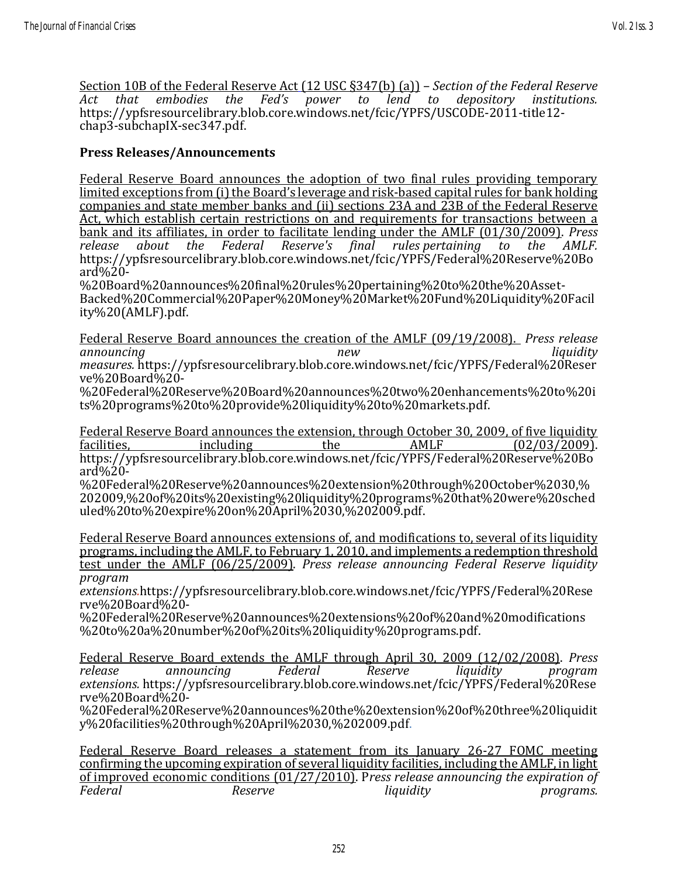Section 10B of the Federal Reserve Act (12 USC §347(b) (a)) – *Section of the Federal Reserve Act that embodies the Fed's power to lend to depository institutions.* https://ypfsresourcelibrary.blob.core.windows.net/fcic/YPFS/USCODE-2011-title12 chap3-subchapIX-sec347.pdf.

#### **Press Releases/Announcements**

Federal Reserve Board announces the adoption of two final rules providing temporary limited exceptions from (i) the Board's leverage and risk-based capital rules for bank holding companies and state member banks and (ii) sections 23A and 23B of the Federal Reserve Act, which establish certain restrictions on and requirements for transactions between a bank and its affiliates, in order to facilitate lending under the AMLF (01/30/2009). *Press release about the Federal Reserve's final rules pertaining to the AMLF.* https://ypfsresourcelibrary.blob.core.windows.net/fcic/YPFS/Federal%20Reserve%20Bo ard%20-

%20Board%20announces%20final%20rules%20pertaining%20to%20the%20Asset-Backed%20Commercial%20Paper%20Money%20Market%20Fund%20Liquidity%20Facil ity%20(AMLF).pdf.

Federal Reserve Board announces the creation of the AMLF (09/19/2008). *Press release announcing new liquidity measures.* https://ypfsresourcelibrary.blob.core.windows.net/fcic/YPFS/Federal%20Reser ve%20Board%20-

%20Federal%20Reserve%20Board%20announces%20two%20enhancements%20to%20i ts%20programs%20to%20provide%20liquidity%20to%20markets.pdf.

Federal Reserve Board announces the extension, through October 30, 2009, of five liquidity facilities, including the AMLF (02/03/2009).

https://ypfsresourcelibrary.blob.core.windows.net/fcic/YPFS/Federal%20Reserve%20Bo  $\text{ard}$ %20-

%20Federal%20Reserve%20announces%20extension%20through%20October%2030,% 202009,%20of%20its%20existing%20liquidity%20programs%20that%20were%20sched uled%20to%20expire%20on%20April%2030,%202009.pdf.

Federal Reserve Board announces extensions of, and modifications to, several of its liquidity programs, including the AMLF, to February 1, 2010, and implements a redemption threshold test under the AMLF (06/25/2009). *Press release announcing Federal Reserve liquidity program* 

*extensions.*https://ypfsresourcelibrary.blob.core.windows.net/fcic/YPFS/Federal%20Rese rve%20Board%20-

%20Federal%20Reserve%20announces%20extensions%20of%20and%20modifications %20to%20a%20number%20of%20its%20liquidity%20programs.pdf.

Federal Reserve Board extends the AMLF through April 30, 2009 (12/02/2008). *Press release announcing Federal Reserve liquidity program extensions.* https://ypfsresourcelibrary.blob.core.windows.net/fcic/YPFS/Federal%20Rese rve%20Board%20-

%20Federal%20Reserve%20announces%20the%20extension%20of%20three%20liquidit y%20facilities%20through%20April%2030,%202009.pdf.

Federal Reserve Board releases a statement from its January 26-27 FOMC meeting confirming the upcoming expiration of several liquidity facilities, including the AMLF, in light of improved economic conditions (01/27/2010). P*ress release announcing the expiration of Federal Reserve liquidity programs.*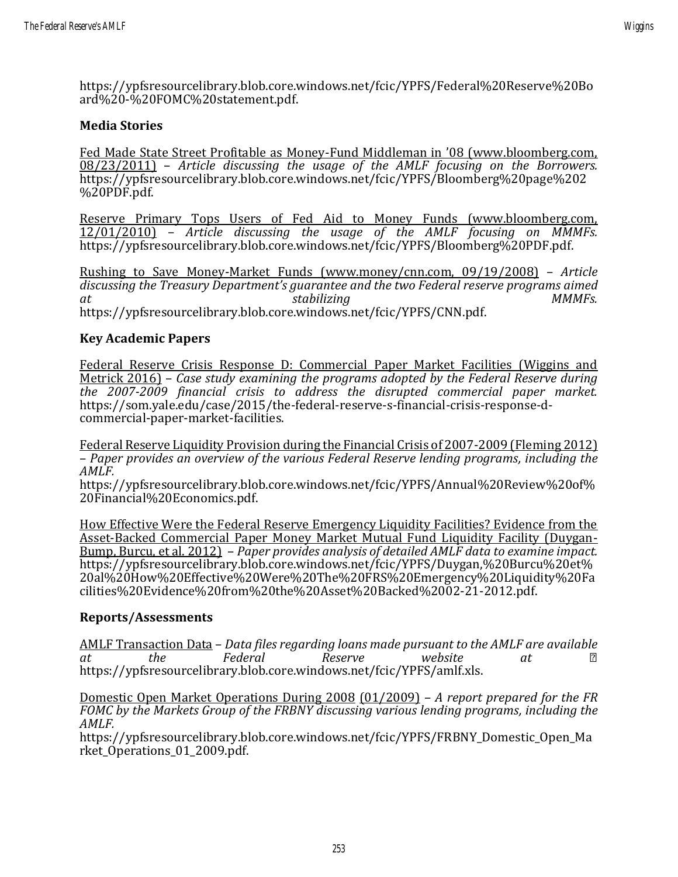https://ypfsresourcelibrary.blob.core.windows.net/fcic/YPFS/Federal%20Reserve%20Bo ard%20-%20FOMC%20statement.pdf.

#### **Media Stories**

Fed Made State Street Profitable as Money-Fund Middleman in '08 (www.bloomberg.com, 08/23/2011) – *Article discussing the usage of the AMLF focusing on the Borrowers.* https://ypfsresourcelibrary.blob.core.windows.net/fcic/YPFS/Bloomberg%20page%202 %20PDF.pdf.

Reserve Primary Tops Users of Fed Aid to Money Funds (www.bloomberg.com, 12/01/2010) – *Article discussing the usage of the AMLF focusing on MMMFs.* https://ypfsresourcelibrary.blob.core.windows.net/fcic/YPFS/Bloomberg%20PDF.pdf.

Rushing to Save Money-Market Funds (www.money/cnn.com, 09/19/2008) – *Article discussing the Treasury Department's guarantee and the two Federal reserve programs aimed at stabilizing MMMFs.* https://ypfsresourcelibrary.blob.core.windows.net/fcic/YPFS/CNN.pdf.

#### **Key Academic Papers**

Federal Reserve Crisis Response D: Commercial Paper Market Facilities (Wiggins and Metrick 2016) – *Case study examining the programs adopted by the Federal Reserve during the 2007-2009 financial crisis to address the disrupted commercial paper market.* https://som.yale.edu/case/2015/the-federal-reserve-s-financial-crisis-response-dcommercial-paper-market-facilities.

Federal Reserve Liquidity Provision during the Financial Crisis of 2007-2009 (Fleming 2012) – *Paper provides an overview of the various Federal Reserve lending programs, including the AMLF.*

https://ypfsresourcelibrary.blob.core.windows.net/fcic/YPFS/Annual%20Review%20of% 20Financial%20Economics.pdf.

How Effective Were the Federal Reserve Emergency Liquidity Facilities? Evidence from the Asset-Backed Commercial Paper Money Market Mutual Fund Liquidity Facility (Duygan-Bump, Burcu, et al. 2012) – *Paper provides analysis of detailed AMLF data to examine impact.* https://ypfsresourcelibrary.blob.core.windows.net/fcic/YPFS/Duygan,%20Burcu%20et% 20al%20How%20Effective%20Were%20The%20FRS%20Emergency%20Liquidity%20Fa cilities%20Evidence%20from%20the%20Asset%20Backed%2002-21-2012.pdf.

#### **Reports/Assessments**

AMLF Transaction Data – *Data files regarding loans made pursuant to the AMLF are available at the Federal Reserve website at ⎯* https://ypfsresourcelibrary.blob.core.windows.net/fcic/YPFS/amlf.xls.

Domestic Open Market Operations During 2008 (01/2009) – *A report prepared for the FR FOMC by the Markets Group of the FRBNY discussing various lending programs, including the AMLF.*

https://ypfsresourcelibrary.blob.core.windows.net/fcic/YPFS/FRBNY\_Domestic\_Open\_Ma rket Operations 01 2009.pdf.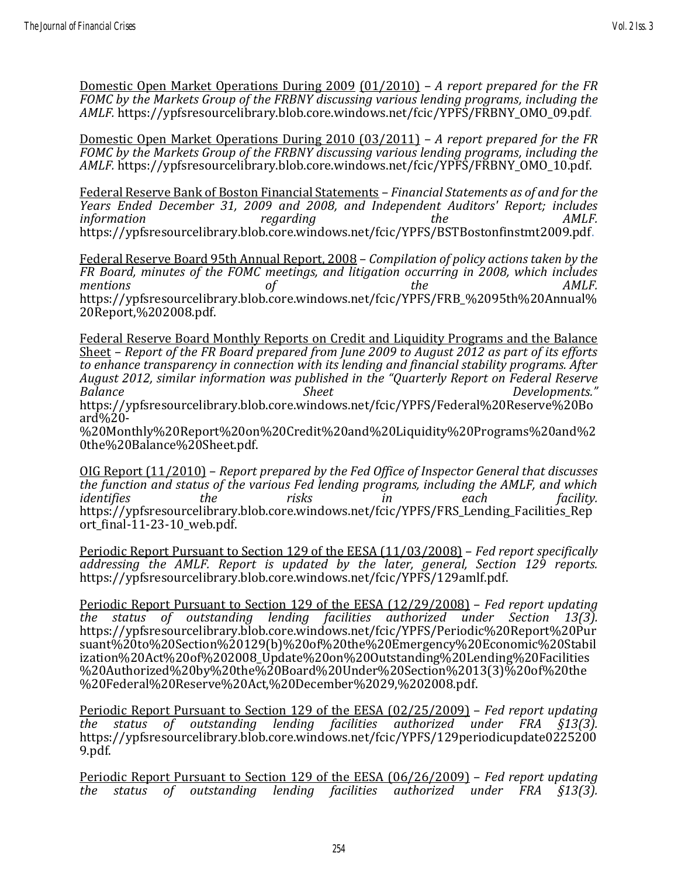Domestic Open Market Operations During 2009 (01/2010) – *A report prepared for the FR FOMC by the Markets Group of the FRBNY discussing various lending programs, including the AMLF.* https://ypfsresourcelibrary.blob.core.windows.net/fcic/YPFS/FRBNY\_OMO\_09.pdf.

Domestic Open Market Operations During 2010 (03/2011) – *A report prepared for the FR FOMC by the Markets Group of the FRBNY discussing various lending programs, including the AMLF.* https://ypfsresourcelibrary.blob.core.windows.net/fcic/YPFS/FRBNY\_OMO\_10.pdf.

Federal Reserve Bank of Boston Financial Statements – *Financial Statements as of and for the Years Ended December 31, 2009 and 2008, and Independent Auditors' Report; includes information regarding the AMLF.* https://ypfsresourcelibrary.blob.core.windows.net/fcic/YPFS/BSTBostonfinstmt2009.pdf.

Federal Reserve Board 95th Annual Report, 2008 – *Compilation of policy actions taken by the FR Board, minutes of the FOMC meetings, and litigation occurring in 2008, which includes*  mentions of  $\qquad \qquad$  of  $\qquad \qquad$  the  $\qquad \qquad$  AMLF. https://ypfsresourcelibrary.blob.core.windows.net/fcic/YPFS/FRB\_%2095th%20Annual% 20Report,%202008.pdf.

Federal Reserve Board Monthly Reports on Credit and Liquidity Programs and the Balance Sheet – *Report of the FR Board prepared from June 2009 to August 2012 as part of its efforts to enhance transparency in connection with its lending and financial stability programs. After August 2012, similar information was published in the "Quarterly Report on Federal Reserve Balance Sheet Developments."* https://ypfsresourcelibrary.blob.core.windows.net/fcic/YPFS/Federal%20Reserve%20Bo ard%20-

%20Monthly%20Report%20on%20Credit%20and%20Liquidity%20Programs%20and%2 0the%20Balance%20Sheet.pdf.

OIG Report (11/2010) – *Report prepared by the Fed Office of Inspector General that discusses the function and status of the various Fed lending programs, including the AMLF, and which identifies the risks in each facility.* https://ypfsresourcelibrary.blob.core.windows.net/fcic/YPFS/FRS\_Lending\_Facilities\_Rep ort final- $11-23-10$  web.pdf.

Periodic Report Pursuant to Section 129 of the EESA (11/03/2008) – *Fed report specifically addressing the AMLF. Report is updated by the later, general, Section 129 reports.* https://ypfsresourcelibrary.blob.core.windows.net/fcic/YPFS/129amlf.pdf.

Periodic Report Pursuant to Section 129 of the EESA (12/29/2008) – *Fed report updating the status of outstanding lending facilities authorized under Section 13(3).* https://ypfsresourcelibrary.blob.core.windows.net/fcic/YPFS/Periodic%20Report%20Pur suant%20to%20Section%20129(b)%20of%20the%20Emergency%20Economic%20Stabil ization%20Act%20of%202008\_Update%20on%20Outstanding%20Lending%20Facilities %20Authorized%20by%20the%20Board%20Under%20Section%2013(3)%20of%20the %20Federal%20Reserve%20Act,%20December%2029,%202008.pdf.

Periodic Report Pursuant to Section 129 of the EESA (02/25/2009) – *Fed report updating the status of outstanding lending facilities authorized under FRA §13(3).* https://ypfsresourcelibrary.blob.core.windows.net/fcic/YPFS/129periodicupdate0225200 9.pdf.

Periodic Report Pursuant to Section 129 of the EESA (06/26/2009) – *Fed report updating the status of outstanding lending facilities authorized under FRA §13(3).*